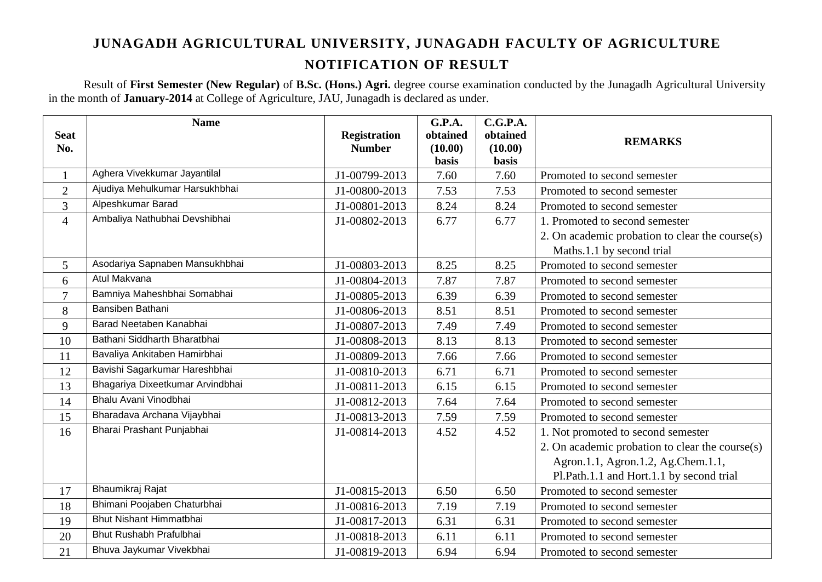Result of **First Semester (New Regular)** of **B.Sc. (Hons.) Agri.** degree course examination conducted by the Junagadh Agricultural University in the month of **January-2014** at College of Agriculture, JAU, Junagadh is declared as under.

| <b>Seat</b><br>No. | <b>Name</b>                      | <b>Registration</b><br><b>Number</b> | <b>G.P.A.</b><br>obtained<br>(10.00)<br><b>basis</b> | C.G.P.A.<br>obtained<br>(10.00)<br>basis | <b>REMARKS</b>                                  |
|--------------------|----------------------------------|--------------------------------------|------------------------------------------------------|------------------------------------------|-------------------------------------------------|
| $\mathbf{1}$       | Aghera Vivekkumar Jayantilal     | J1-00799-2013                        | 7.60                                                 | 7.60                                     | Promoted to second semester                     |
| $\overline{2}$     | Ajudiya Mehulkumar Harsukhbhai   | J1-00800-2013                        | 7.53                                                 | 7.53                                     | Promoted to second semester                     |
| 3                  | Alpeshkumar Barad                | J1-00801-2013                        | 8.24                                                 | 8.24                                     | Promoted to second semester                     |
| $\overline{4}$     | Ambaliya Nathubhai Devshibhai    | J1-00802-2013                        | 6.77                                                 | 6.77                                     | 1. Promoted to second semester                  |
|                    |                                  |                                      |                                                      |                                          | 2. On academic probation to clear the course(s) |
|                    |                                  |                                      |                                                      |                                          | Maths.1.1 by second trial                       |
| 5                  | Asodariya Sapnaben Mansukhbhai   | J1-00803-2013                        | 8.25                                                 | 8.25                                     | Promoted to second semester                     |
| 6                  | Atul Makvana                     | J1-00804-2013                        | 7.87                                                 | 7.87                                     | Promoted to second semester                     |
| $\overline{7}$     | Bamniya Maheshbhai Somabhai      | J1-00805-2013                        | 6.39                                                 | 6.39                                     | Promoted to second semester                     |
| 8                  | Bansiben Bathani                 | J1-00806-2013                        | 8.51                                                 | 8.51                                     | Promoted to second semester                     |
| 9                  | Barad Neetaben Kanabhai          | J1-00807-2013                        | 7.49                                                 | 7.49                                     | Promoted to second semester                     |
| 10                 | Bathani Siddharth Bharatbhai     | J1-00808-2013                        | 8.13                                                 | 8.13                                     | Promoted to second semester                     |
| 11                 | Bavaliya Ankitaben Hamirbhai     | J1-00809-2013                        | 7.66                                                 | 7.66                                     | Promoted to second semester                     |
| 12                 | Bavishi Sagarkumar Hareshbhai    | J1-00810-2013                        | 6.71                                                 | 6.71                                     | Promoted to second semester                     |
| 13                 | Bhagariya Dixeetkumar Arvindbhai | J1-00811-2013                        | 6.15                                                 | 6.15                                     | Promoted to second semester                     |
| 14                 | Bhalu Avani Vinodbhai            | J1-00812-2013                        | 7.64                                                 | 7.64                                     | Promoted to second semester                     |
| 15                 | Bharadava Archana Vijaybhai      | J1-00813-2013                        | 7.59                                                 | 7.59                                     | Promoted to second semester                     |
| 16                 | Bharai Prashant Punjabhai        | J1-00814-2013                        | 4.52                                                 | 4.52                                     | 1. Not promoted to second semester              |
|                    |                                  |                                      |                                                      |                                          | 2. On academic probation to clear the course(s) |
|                    |                                  |                                      |                                                      |                                          | Agron.1.1, Agron.1.2, Ag.Chem.1.1,              |
|                    |                                  |                                      |                                                      |                                          | Pl.Path.1.1 and Hort.1.1 by second trial        |
| 17                 | Bhaumikraj Rajat                 | J1-00815-2013                        | 6.50                                                 | 6.50                                     | Promoted to second semester                     |
| 18                 | Bhimani Poojaben Chaturbhai      | J1-00816-2013                        | 7.19                                                 | 7.19                                     | Promoted to second semester                     |
| 19                 | <b>Bhut Nishant Himmatbhai</b>   | J1-00817-2013                        | 6.31                                                 | 6.31                                     | Promoted to second semester                     |
| 20                 | Bhut Rushabh Prafulbhai          | J1-00818-2013                        | 6.11                                                 | 6.11                                     | Promoted to second semester                     |
| 21                 | Bhuva Jaykumar Vivekbhai         | J1-00819-2013                        | 6.94                                                 | 6.94                                     | Promoted to second semester                     |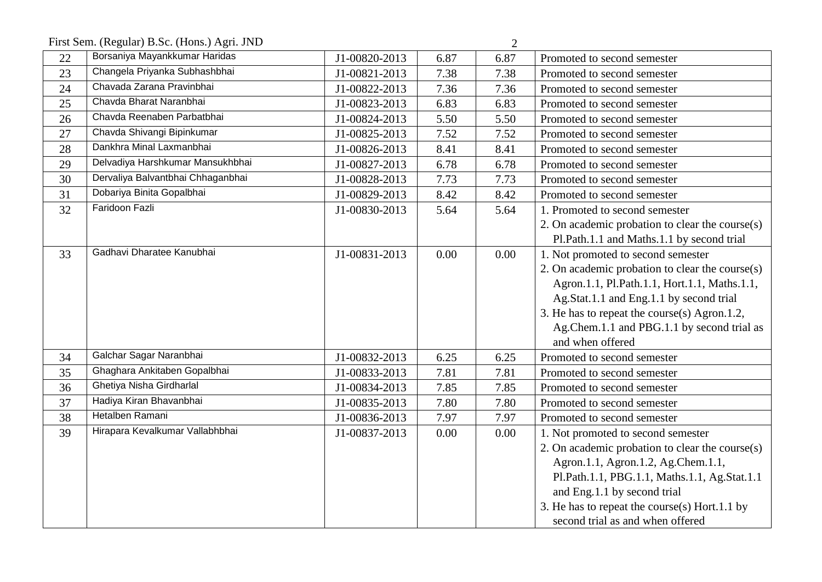First Sem. (Regular) B.Sc. (Hons.) Agri. JND 2

|    | $(10, 0.001)$ $1000$ , $(11010)$ , $1500$ , $000$ |               |      |      |                                                 |
|----|---------------------------------------------------|---------------|------|------|-------------------------------------------------|
| 22 | Borsaniya Mayankkumar Haridas                     | J1-00820-2013 | 6.87 | 6.87 | Promoted to second semester                     |
| 23 | Changela Priyanka Subhashbhai                     | J1-00821-2013 | 7.38 | 7.38 | Promoted to second semester                     |
| 24 | Chavada Zarana Pravinbhai                         | J1-00822-2013 | 7.36 | 7.36 | Promoted to second semester                     |
| 25 | Chavda Bharat Naranbhai                           | J1-00823-2013 | 6.83 | 6.83 | Promoted to second semester                     |
| 26 | Chavda Reenaben Parbatbhai                        | J1-00824-2013 | 5.50 | 5.50 | Promoted to second semester                     |
| 27 | Chavda Shivangi Bipinkumar                        | J1-00825-2013 | 7.52 | 7.52 | Promoted to second semester                     |
| 28 | Dankhra Minal Laxmanbhai                          | J1-00826-2013 | 8.41 | 8.41 | Promoted to second semester                     |
| 29 | Delvadiya Harshkumar Mansukhbhai                  | J1-00827-2013 | 6.78 | 6.78 | Promoted to second semester                     |
| 30 | Dervaliya Balvantbhai Chhaganbhai                 | J1-00828-2013 | 7.73 | 7.73 | Promoted to second semester                     |
| 31 | Dobariya Binita Gopalbhai                         | J1-00829-2013 | 8.42 | 8.42 | Promoted to second semester                     |
| 32 | Faridoon Fazli                                    | J1-00830-2013 | 5.64 | 5.64 | 1. Promoted to second semester                  |
|    |                                                   |               |      |      | 2. On academic probation to clear the course(s) |
|    |                                                   |               |      |      | Pl.Path.1.1 and Maths.1.1 by second trial       |
| 33 | Gadhavi Dharatee Kanubhai                         | J1-00831-2013 | 0.00 | 0.00 | 1. Not promoted to second semester              |
|    |                                                   |               |      |      | 2. On academic probation to clear the course(s) |
|    |                                                   |               |      |      | Agron.1.1, Pl.Path.1.1, Hort.1.1, Maths.1.1,    |
|    |                                                   |               |      |      | Ag.Stat.1.1 and Eng.1.1 by second trial         |
|    |                                                   |               |      |      | 3. He has to repeat the course(s) Agron.1.2,    |
|    |                                                   |               |      |      | Ag.Chem.1.1 and PBG.1.1 by second trial as      |
|    |                                                   |               |      |      | and when offered                                |
| 34 | Galchar Sagar Naranbhai                           | J1-00832-2013 | 6.25 | 6.25 | Promoted to second semester                     |
| 35 | Ghaghara Ankitaben Gopalbhai                      | J1-00833-2013 | 7.81 | 7.81 | Promoted to second semester                     |
| 36 | Ghetiya Nisha Girdharlal                          | J1-00834-2013 | 7.85 | 7.85 | Promoted to second semester                     |
| 37 | Hadiya Kiran Bhavanbhai                           | J1-00835-2013 | 7.80 | 7.80 | Promoted to second semester                     |
| 38 | Hetalben Ramani                                   | J1-00836-2013 | 7.97 | 7.97 | Promoted to second semester                     |
| 39 | Hirapara Kevalkumar Vallabhbhai                   | J1-00837-2013 | 0.00 | 0.00 | 1. Not promoted to second semester              |
|    |                                                   |               |      |      | 2. On academic probation to clear the course(s) |
|    |                                                   |               |      |      | Agron.1.1, Agron.1.2, Ag.Chem.1.1,              |
|    |                                                   |               |      |      | Pl.Path.1.1, PBG.1.1, Maths.1.1, Ag.Stat.1.1    |
|    |                                                   |               |      |      | and Eng.1.1 by second trial                     |
|    |                                                   |               |      |      | 3. He has to repeat the course(s) Hort.1.1 by   |
|    |                                                   |               |      |      | second trial as and when offered                |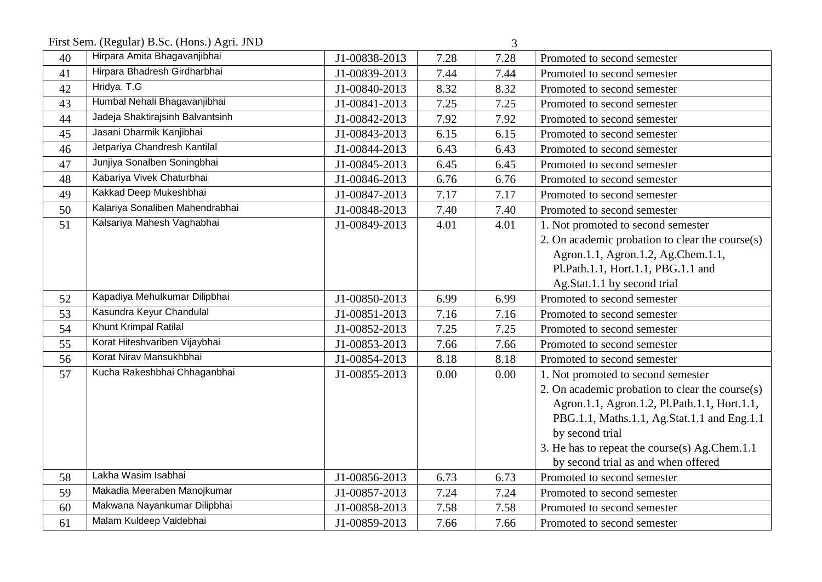First Sem. (Regular) B.Sc. (Hons.) Agri. JND 3

| <br>I |  |  |
|-------|--|--|
| ٦     |  |  |
|       |  |  |
| I     |  |  |

| 40 | Hirpara Amita Bhagavanjibhai     | J1-00838-2013 | 7.28 | 7.28 | Promoted to second semester                     |
|----|----------------------------------|---------------|------|------|-------------------------------------------------|
| 41 | Hirpara Bhadresh Girdharbhai     | J1-00839-2013 | 7.44 | 7.44 | Promoted to second semester                     |
| 42 | Hridya. T.G                      | J1-00840-2013 | 8.32 | 8.32 | Promoted to second semester                     |
| 43 | Humbal Nehali Bhagavanjibhai     | J1-00841-2013 | 7.25 | 7.25 | Promoted to second semester                     |
| 44 | Jadeja Shaktirajsinh Balvantsinh | J1-00842-2013 | 7.92 | 7.92 | Promoted to second semester                     |
| 45 | Jasani Dharmik Kanjibhai         | J1-00843-2013 | 6.15 | 6.15 | Promoted to second semester                     |
| 46 | Jetpariya Chandresh Kantilal     | J1-00844-2013 | 6.43 | 6.43 | Promoted to second semester                     |
| 47 | Junjiya Sonalben Soningbhai      | J1-00845-2013 | 6.45 | 6.45 | Promoted to second semester                     |
| 48 | Kabariya Vivek Chaturbhai        | J1-00846-2013 | 6.76 | 6.76 | Promoted to second semester                     |
| 49 | Kakkad Deep Mukeshbhai           | J1-00847-2013 | 7.17 | 7.17 | Promoted to second semester                     |
| 50 | Kalariya Sonaliben Mahendrabhai  | J1-00848-2013 | 7.40 | 7.40 | Promoted to second semester                     |
| 51 | Kalsariya Mahesh Vaghabhai       | J1-00849-2013 | 4.01 | 4.01 | 1. Not promoted to second semester              |
|    |                                  |               |      |      | 2. On academic probation to clear the course(s) |
|    |                                  |               |      |      | Agron.1.1, Agron.1.2, Ag.Chem.1.1,              |
|    |                                  |               |      |      | Pl.Path.1.1, Hort.1.1, PBG.1.1 and              |
|    |                                  |               |      |      | Ag.Stat.1.1 by second trial                     |
| 52 | Kapadiya Mehulkumar Dilipbhai    | J1-00850-2013 | 6.99 | 6.99 | Promoted to second semester                     |
| 53 | Kasundra Keyur Chandulal         | J1-00851-2013 | 7.16 | 7.16 | Promoted to second semester                     |
| 54 | Khunt Krimpal Ratilal            | J1-00852-2013 | 7.25 | 7.25 | Promoted to second semester                     |
| 55 | Korat Hiteshvariben Vijaybhai    | J1-00853-2013 | 7.66 | 7.66 | Promoted to second semester                     |
| 56 | Korat Nirav Mansukhbhai          | J1-00854-2013 | 8.18 | 8.18 | Promoted to second semester                     |
| 57 | Kucha Rakeshbhai Chhaganbhai     | J1-00855-2013 | 0.00 | 0.00 | 1. Not promoted to second semester              |
|    |                                  |               |      |      | 2. On academic probation to clear the course(s) |
|    |                                  |               |      |      | Agron.1.1, Agron.1.2, Pl.Path.1.1, Hort.1.1,    |
|    |                                  |               |      |      | PBG.1.1, Maths.1.1, Ag.Stat.1.1 and Eng.1.1     |
|    |                                  |               |      |      | by second trial                                 |
|    |                                  |               |      |      | 3. He has to repeat the course(s) Ag.Chem.1.1   |
|    |                                  |               |      |      | by second trial as and when offered             |
| 58 | Lakha Wasim Isabhai              | J1-00856-2013 | 6.73 | 6.73 | Promoted to second semester                     |
| 59 | Makadia Meeraben Manojkumar      | J1-00857-2013 | 7.24 | 7.24 | Promoted to second semester                     |
| 60 | Makwana Nayankumar Dilipbhai     | J1-00858-2013 | 7.58 | 7.58 | Promoted to second semester                     |
| 61 | Malam Kuldeep Vaidebhai          | J1-00859-2013 | 7.66 | 7.66 | Promoted to second semester                     |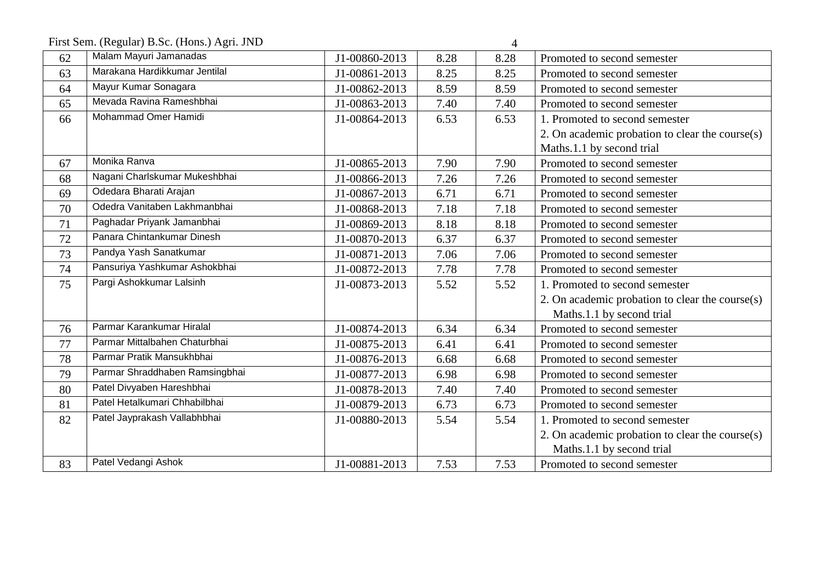First Sem. (Regular) B.Sc. (Hons.) Agri. JND 4

| 62 | Malam Mayuri Jamanadas         | J1-00860-2013 | 8.28 | 8.28 | Promoted to second semester                     |
|----|--------------------------------|---------------|------|------|-------------------------------------------------|
| 63 | Marakana Hardikkumar Jentilal  | J1-00861-2013 | 8.25 | 8.25 | Promoted to second semester                     |
| 64 | Mayur Kumar Sonagara           | J1-00862-2013 | 8.59 | 8.59 | Promoted to second semester                     |
| 65 | Mevada Ravina Rameshbhai       | J1-00863-2013 | 7.40 | 7.40 | Promoted to second semester                     |
| 66 | Mohammad Omer Hamidi           | J1-00864-2013 | 6.53 | 6.53 | 1. Promoted to second semester                  |
|    |                                |               |      |      | 2. On academic probation to clear the course(s) |
|    |                                |               |      |      | Maths.1.1 by second trial                       |
| 67 | Monika Ranva                   | J1-00865-2013 | 7.90 | 7.90 | Promoted to second semester                     |
| 68 | Nagani Charlskumar Mukeshbhai  | J1-00866-2013 | 7.26 | 7.26 | Promoted to second semester                     |
| 69 | Odedara Bharati Arajan         | J1-00867-2013 | 6.71 | 6.71 | Promoted to second semester                     |
| 70 | Odedra Vanitaben Lakhmanbhai   | J1-00868-2013 | 7.18 | 7.18 | Promoted to second semester                     |
| 71 | Paghadar Priyank Jamanbhai     | J1-00869-2013 | 8.18 | 8.18 | Promoted to second semester                     |
| 72 | Panara Chintankumar Dinesh     | J1-00870-2013 | 6.37 | 6.37 | Promoted to second semester                     |
| 73 | Pandya Yash Sanatkumar         | J1-00871-2013 | 7.06 | 7.06 | Promoted to second semester                     |
| 74 | Pansuriya Yashkumar Ashokbhai  | J1-00872-2013 | 7.78 | 7.78 | Promoted to second semester                     |
| 75 | Pargi Ashokkumar Lalsinh       | J1-00873-2013 | 5.52 | 5.52 | 1. Promoted to second semester                  |
|    |                                |               |      |      | 2. On academic probation to clear the course(s) |
|    |                                |               |      |      | Maths.1.1 by second trial                       |
| 76 | Parmar Karankumar Hiralal      | J1-00874-2013 | 6.34 | 6.34 | Promoted to second semester                     |
| 77 | Parmar Mittalbahen Chaturbhai  | J1-00875-2013 | 6.41 | 6.41 | Promoted to second semester                     |
| 78 | Parmar Pratik Mansukhbhai      | J1-00876-2013 | 6.68 | 6.68 | Promoted to second semester                     |
| 79 | Parmar Shraddhaben Ramsingbhai | J1-00877-2013 | 6.98 | 6.98 | Promoted to second semester                     |
| 80 | Patel Divyaben Hareshbhai      | J1-00878-2013 | 7.40 | 7.40 | Promoted to second semester                     |
| 81 | Patel Hetalkumari Chhabilbhai  | J1-00879-2013 | 6.73 | 6.73 | Promoted to second semester                     |
| 82 | Patel Jayprakash Vallabhbhai   | J1-00880-2013 | 5.54 | 5.54 | 1. Promoted to second semester                  |
|    |                                |               |      |      | 2. On academic probation to clear the course(s) |
|    |                                |               |      |      | Maths.1.1 by second trial                       |
| 83 | Patel Vedangi Ashok            | J1-00881-2013 | 7.53 | 7.53 | Promoted to second semester                     |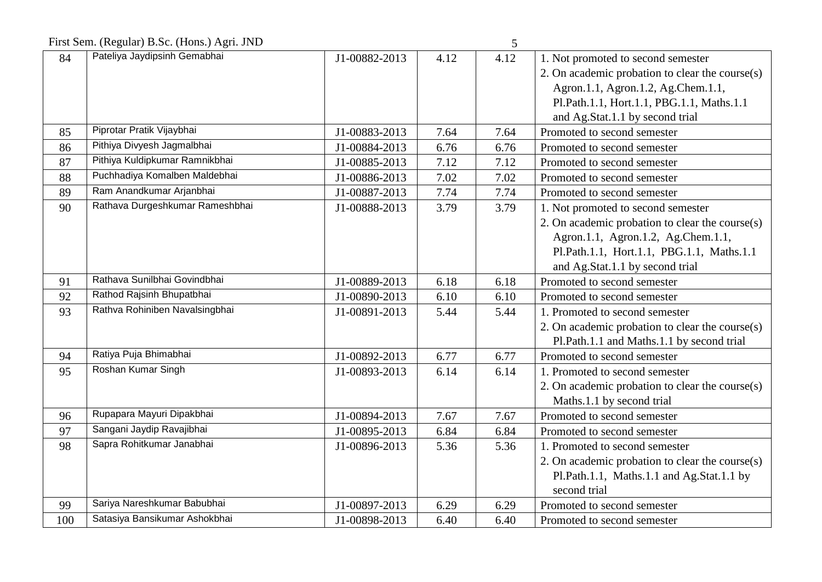First Sem. (Regular) B.Sc. (Hons.) Agri. JND 5

|     | Thist Schil (Regular) D.Sc. (Trons.) $\Delta g$ II. JIND |               |      | $\mathcal{L}$ |                                                 |
|-----|----------------------------------------------------------|---------------|------|---------------|-------------------------------------------------|
| 84  | Pateliya Jaydipsinh Gemabhai                             | J1-00882-2013 | 4.12 | 4.12          | 1. Not promoted to second semester              |
|     |                                                          |               |      |               | 2. On academic probation to clear the course(s) |
|     |                                                          |               |      |               | Agron.1.1, Agron.1.2, Ag.Chem.1.1,              |
|     |                                                          |               |      |               | Pl.Path.1.1, Hort.1.1, PBG.1.1, Maths.1.1       |
|     |                                                          |               |      |               | and Ag.Stat.1.1 by second trial                 |
| 85  | Piprotar Pratik Vijaybhai                                | J1-00883-2013 | 7.64 | 7.64          | Promoted to second semester                     |
| 86  | Pithiya Divyesh Jagmalbhai                               | J1-00884-2013 | 6.76 | 6.76          | Promoted to second semester                     |
| 87  | Pithiya Kuldipkumar Ramnikbhai                           | J1-00885-2013 | 7.12 | 7.12          | Promoted to second semester                     |
| 88  | Puchhadiya Komalben Maldebhai                            | J1-00886-2013 | 7.02 | 7.02          | Promoted to second semester                     |
| 89  | Ram Anandkumar Arjanbhai                                 | J1-00887-2013 | 7.74 | 7.74          | Promoted to second semester                     |
| 90  | Rathava Durgeshkumar Rameshbhai                          | J1-00888-2013 | 3.79 | 3.79          | 1. Not promoted to second semester              |
|     |                                                          |               |      |               | 2. On academic probation to clear the course(s) |
|     |                                                          |               |      |               | Agron.1.1, Agron.1.2, Ag.Chem.1.1,              |
|     |                                                          |               |      |               | Pl.Path.1.1, Hort.1.1, PBG.1.1, Maths.1.1       |
|     |                                                          |               |      |               | and Ag.Stat.1.1 by second trial                 |
| 91  | Rathava Sunilbhai Govindbhai                             | J1-00889-2013 | 6.18 | 6.18          | Promoted to second semester                     |
| 92  | Rathod Rajsinh Bhupatbhai                                | J1-00890-2013 | 6.10 | 6.10          | Promoted to second semester                     |
| 93  | Rathva Rohiniben Navalsingbhai                           | J1-00891-2013 | 5.44 | 5.44          | 1. Promoted to second semester                  |
|     |                                                          |               |      |               | 2. On academic probation to clear the course(s) |
|     |                                                          |               |      |               | Pl.Path.1.1 and Maths.1.1 by second trial       |
| 94  | Ratiya Puja Bhimabhai                                    | J1-00892-2013 | 6.77 | 6.77          | Promoted to second semester                     |
| 95  | Roshan Kumar Singh                                       | J1-00893-2013 | 6.14 | 6.14          | 1. Promoted to second semester                  |
|     |                                                          |               |      |               | 2. On academic probation to clear the course(s) |
|     |                                                          |               |      |               | Maths.1.1 by second trial                       |
| 96  | Rupapara Mayuri Dipakbhai                                | J1-00894-2013 | 7.67 | 7.67          | Promoted to second semester                     |
| 97  | Sangani Jaydip Ravajibhai                                | J1-00895-2013 | 6.84 | 6.84          | Promoted to second semester                     |
| 98  | Sapra Rohitkumar Janabhai                                | J1-00896-2013 | 5.36 | 5.36          | 1. Promoted to second semester                  |
|     |                                                          |               |      |               | 2. On academic probation to clear the course(s) |
|     |                                                          |               |      |               | Pl.Path.1.1, Maths.1.1 and Ag.Stat.1.1 by       |
|     |                                                          |               |      |               | second trial                                    |
| 99  | Sariya Nareshkumar Babubhai                              | J1-00897-2013 | 6.29 | 6.29          | Promoted to second semester                     |
| 100 | Satasiya Bansikumar Ashokbhai                            | J1-00898-2013 | 6.40 | 6.40          | Promoted to second semester                     |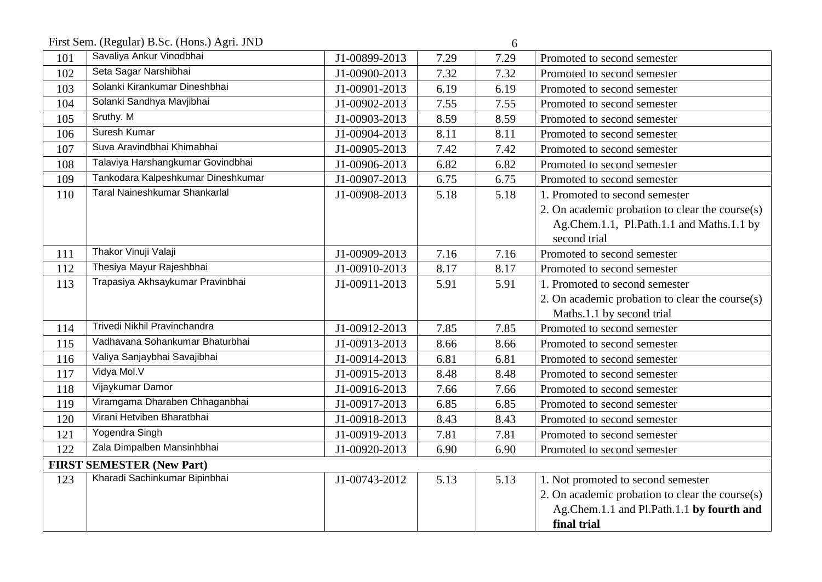First Sem. (Regular) B.Sc. (Hons.) Agri. JND 6

|     | $\cdots$ , $\cdots$ , $\cdots$ , $\cdots$ , $\cdots$ , $\cdots$ , $\cdots$ , $\cdots$ , $\cdots$ , $\cdots$ , $\cdots$ , $\cdots$ , $\cdots$ , $\cdots$ , $\cdots$ , $\cdots$ , $\cdots$ , $\cdots$ , $\cdots$ , $\cdots$ , $\cdots$ , $\cdots$ , $\cdots$ , $\cdots$ , $\cdots$ , $\cdots$ , $\cdots$ , $\cdots$ , $\cdots$ , $\cdots$ , $\cdots$ , $\cdots$ |               |      |      |                                                 |
|-----|---------------------------------------------------------------------------------------------------------------------------------------------------------------------------------------------------------------------------------------------------------------------------------------------------------------------------------------------------------------|---------------|------|------|-------------------------------------------------|
| 101 | Savaliya Ankur Vinodbhai                                                                                                                                                                                                                                                                                                                                      | J1-00899-2013 | 7.29 | 7.29 | Promoted to second semester                     |
| 102 | Seta Sagar Narshibhai                                                                                                                                                                                                                                                                                                                                         | J1-00900-2013 | 7.32 | 7.32 | Promoted to second semester                     |
| 103 | Solanki Kirankumar Dineshbhai                                                                                                                                                                                                                                                                                                                                 | J1-00901-2013 | 6.19 | 6.19 | Promoted to second semester                     |
| 104 | Solanki Sandhya Mavjibhai                                                                                                                                                                                                                                                                                                                                     | J1-00902-2013 | 7.55 | 7.55 | Promoted to second semester                     |
| 105 | Sruthy. $\overline{M}$                                                                                                                                                                                                                                                                                                                                        | J1-00903-2013 | 8.59 | 8.59 | Promoted to second semester                     |
| 106 | Suresh Kumar                                                                                                                                                                                                                                                                                                                                                  | J1-00904-2013 | 8.11 | 8.11 | Promoted to second semester                     |
| 107 | Suva Aravindbhai Khimabhai                                                                                                                                                                                                                                                                                                                                    | J1-00905-2013 | 7.42 | 7.42 | Promoted to second semester                     |
| 108 | Talaviya Harshangkumar Govindbhai                                                                                                                                                                                                                                                                                                                             | J1-00906-2013 | 6.82 | 6.82 | Promoted to second semester                     |
| 109 | Tankodara Kalpeshkumar Dineshkumar                                                                                                                                                                                                                                                                                                                            | J1-00907-2013 | 6.75 | 6.75 | Promoted to second semester                     |
| 110 | <b>Taral Naineshkumar Shankarlal</b>                                                                                                                                                                                                                                                                                                                          | J1-00908-2013 | 5.18 | 5.18 | 1. Promoted to second semester                  |
|     |                                                                                                                                                                                                                                                                                                                                                               |               |      |      | 2. On academic probation to clear the course(s) |
|     |                                                                                                                                                                                                                                                                                                                                                               |               |      |      | Ag.Chem.1.1, Pl.Path.1.1 and Maths.1.1 by       |
|     |                                                                                                                                                                                                                                                                                                                                                               |               |      |      | second trial                                    |
| 111 | Thakor Vinuji Valaji                                                                                                                                                                                                                                                                                                                                          | J1-00909-2013 | 7.16 | 7.16 | Promoted to second semester                     |
| 112 | Thesiya Mayur Rajeshbhai                                                                                                                                                                                                                                                                                                                                      | J1-00910-2013 | 8.17 | 8.17 | Promoted to second semester                     |
| 113 | Trapasiya Akhsaykumar Pravinbhai                                                                                                                                                                                                                                                                                                                              | J1-00911-2013 | 5.91 | 5.91 | 1. Promoted to second semester                  |
|     |                                                                                                                                                                                                                                                                                                                                                               |               |      |      | 2. On academic probation to clear the course(s) |
|     |                                                                                                                                                                                                                                                                                                                                                               |               |      |      | Maths.1.1 by second trial                       |
| 114 | Trivedi Nikhil Pravinchandra                                                                                                                                                                                                                                                                                                                                  | J1-00912-2013 | 7.85 | 7.85 | Promoted to second semester                     |
| 115 | Vadhavana Sohankumar Bhaturbhai                                                                                                                                                                                                                                                                                                                               | J1-00913-2013 | 8.66 | 8.66 | Promoted to second semester                     |
| 116 | Valiya Sanjaybhai Savajibhai                                                                                                                                                                                                                                                                                                                                  | J1-00914-2013 | 6.81 | 6.81 | Promoted to second semester                     |
| 117 | Vidya Mol.V                                                                                                                                                                                                                                                                                                                                                   | J1-00915-2013 | 8.48 | 8.48 | Promoted to second semester                     |
| 118 | Vijaykumar Damor                                                                                                                                                                                                                                                                                                                                              | J1-00916-2013 | 7.66 | 7.66 | Promoted to second semester                     |
| 119 | Viramgama Dharaben Chhaganbhai                                                                                                                                                                                                                                                                                                                                | J1-00917-2013 | 6.85 | 6.85 | Promoted to second semester                     |
| 120 | Virani Hetviben Bharatbhai                                                                                                                                                                                                                                                                                                                                    | J1-00918-2013 | 8.43 | 8.43 | Promoted to second semester                     |
| 121 | Yogendra Singh                                                                                                                                                                                                                                                                                                                                                | J1-00919-2013 | 7.81 | 7.81 | Promoted to second semester                     |
| 122 | Zala Dimpalben Mansinhbhai                                                                                                                                                                                                                                                                                                                                    | J1-00920-2013 | 6.90 | 6.90 | Promoted to second semester                     |
|     | <b>FIRST SEMESTER (New Part)</b>                                                                                                                                                                                                                                                                                                                              |               |      |      |                                                 |
| 123 | Kharadi Sachinkumar Bipinbhai                                                                                                                                                                                                                                                                                                                                 | J1-00743-2012 | 5.13 | 5.13 | 1. Not promoted to second semester              |
|     |                                                                                                                                                                                                                                                                                                                                                               |               |      |      | 2. On academic probation to clear the course(s) |
|     |                                                                                                                                                                                                                                                                                                                                                               |               |      |      | Ag.Chem.1.1 and Pl.Path.1.1 by fourth and       |
|     |                                                                                                                                                                                                                                                                                                                                                               |               |      |      | final trial                                     |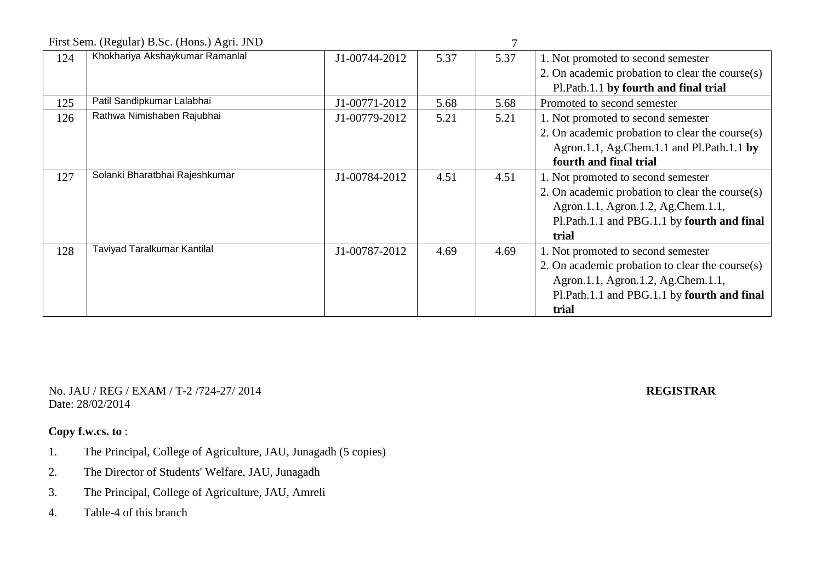First Sem. (Regular) B.S. (Hons.) Agri. JND

|     | FIISt Sein. (Regular) B.Sc. (HOIIS.) Agri. JND |               |      |      |                                                 |
|-----|------------------------------------------------|---------------|------|------|-------------------------------------------------|
| 124 | Khokhariya Akshaykumar Ramanlal                | J1-00744-2012 | 5.37 | 5.37 | 1. Not promoted to second semester              |
|     |                                                |               |      |      | 2. On academic probation to clear the course(s) |
|     |                                                |               |      |      | Pl.Path.1.1 by fourth and final trial           |
| 125 | Patil Sandipkumar Lalabhai                     | J1-00771-2012 | 5.68 | 5.68 | Promoted to second semester                     |
| 126 | Rathwa Nimishaben Rajubhai                     | J1-00779-2012 | 5.21 | 5.21 | 1. Not promoted to second semester              |
|     |                                                |               |      |      | 2. On academic probation to clear the course(s) |
|     |                                                |               |      |      | Agron.1.1, Ag.Chem.1.1 and Pl.Path.1.1 by       |
|     |                                                |               |      |      | fourth and final trial                          |
| 127 | Solanki Bharatbhai Rajeshkumar                 | J1-00784-2012 | 4.51 | 4.51 | 1. Not promoted to second semester              |
|     |                                                |               |      |      | 2. On academic probation to clear the course(s) |
|     |                                                |               |      |      | Agron.1.1, Agron.1.2, Ag.Chem.1.1,              |
|     |                                                |               |      |      | Pl.Path.1.1 and PBG.1.1 by fourth and final     |
|     |                                                |               |      |      | trial                                           |
| 128 | Taviyad Taralkumar Kantilal                    | J1-00787-2012 | 4.69 | 4.69 | 1. Not promoted to second semester              |
|     |                                                |               |      |      | 2. On academic probation to clear the course(s) |
|     |                                                |               |      |      | Agron.1.1, Agron.1.2, Ag.Chem.1.1,              |
|     |                                                |               |      |      | Pl.Path.1.1 and PBG.1.1 by fourth and final     |
|     |                                                |               |      |      | trial                                           |

No. JAU / REG / EXAM / T-2 /724-27/ 2014 **REGISTRAR** Date: 28/02/2014

- 1. The Principal, College of Agriculture, JAU, Junagadh (5 copies)
- 2. The Director of Students' Welfare, JAU, Junagadh
- 3. The Principal, College of Agriculture, JAU, Amreli
- 4. Table-4 of this branch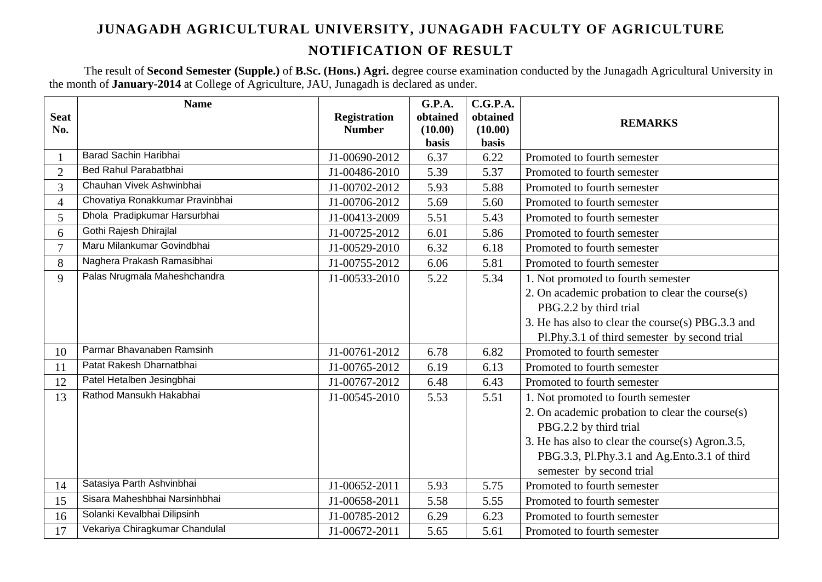The result of **Second Semester (Supple.)** of **B.Sc. (Hons.) Agri.** degree course examination conducted by the Junagadh Agricultural University in the month of **January-2014** at College of Agriculture, JAU, Junagadh is declared as under.

|                | <b>Name</b>                     |                     | G.P.A.               | C.G.P.A.             |                                                   |
|----------------|---------------------------------|---------------------|----------------------|----------------------|---------------------------------------------------|
| <b>Seat</b>    |                                 | <b>Registration</b> | obtained             | obtained             | <b>REMARKS</b>                                    |
| No.            |                                 | <b>Number</b>       | (10.00)              | (10.00)              |                                                   |
|                | Barad Sachin Haribhai           | J1-00690-2012       | <b>basis</b><br>6.37 | <b>basis</b><br>6.22 | Promoted to fourth semester                       |
|                | Bed Rahul Parabatbhai           |                     |                      |                      |                                                   |
| $\overline{2}$ | Chauhan Vivek Ashwinbhai        | J1-00486-2010       | 5.39                 | 5.37                 | Promoted to fourth semester                       |
| 3              |                                 | J1-00702-2012       | 5.93                 | 5.88                 | Promoted to fourth semester                       |
| $\overline{4}$ | Chovatiya Ronakkumar Pravinbhai | J1-00706-2012       | 5.69                 | 5.60                 | Promoted to fourth semester                       |
| 5              | Dhola Pradipkumar Harsurbhai    | J1-00413-2009       | 5.51                 | 5.43                 | Promoted to fourth semester                       |
| 6              | Gothi Rajesh Dhirajlal          | J1-00725-2012       | 6.01                 | 5.86                 | Promoted to fourth semester                       |
| $\overline{7}$ | Maru Milankumar Govindbhai      | J1-00529-2010       | 6.32                 | 6.18                 | Promoted to fourth semester                       |
| 8              | Naghera Prakash Ramasibhai      | J1-00755-2012       | 6.06                 | 5.81                 | Promoted to fourth semester                       |
| 9              | Palas Nrugmala Maheshchandra    | J1-00533-2010       | 5.22                 | 5.34                 | 1. Not promoted to fourth semester                |
|                |                                 |                     |                      |                      | 2. On academic probation to clear the course(s)   |
|                |                                 |                     |                      |                      | PBG.2.2 by third trial                            |
|                |                                 |                     |                      |                      | 3. He has also to clear the course(s) PBG.3.3 and |
|                |                                 |                     |                      |                      | Pl.Phy.3.1 of third semester by second trial      |
| 10             | Parmar Bhavanaben Ramsinh       | J1-00761-2012       | 6.78                 | 6.82                 | Promoted to fourth semester                       |
| 11             | Patat Rakesh Dharnatbhai        | J1-00765-2012       | 6.19                 | 6.13                 | Promoted to fourth semester                       |
| 12             | Patel Hetalben Jesingbhai       | J1-00767-2012       | 6.48                 | 6.43                 | Promoted to fourth semester                       |
| 13             | Rathod Mansukh Hakabhai         | J1-00545-2010       | 5.53                 | 5.51                 | 1. Not promoted to fourth semester                |
|                |                                 |                     |                      |                      | 2. On academic probation to clear the course(s)   |
|                |                                 |                     |                      |                      | PBG.2.2 by third trial                            |
|                |                                 |                     |                      |                      | 3. He has also to clear the course(s) Agron.3.5,  |
|                |                                 |                     |                      |                      | PBG.3.3, Pl.Phy.3.1 and Ag.Ento.3.1 of third      |
|                |                                 |                     |                      |                      | semester by second trial                          |
| 14             | Satasiya Parth Ashvinbhai       | J1-00652-2011       | 5.93                 | 5.75                 | Promoted to fourth semester                       |
| 15             | Sisara Maheshbhai Narsinhbhai   | J1-00658-2011       | 5.58                 | 5.55                 | Promoted to fourth semester                       |
| 16             | Solanki Kevalbhai Dilipsinh     | J1-00785-2012       | 6.29                 | 6.23                 | Promoted to fourth semester                       |
| 17             | Vekariya Chiragkumar Chandulal  | J1-00672-2011       | 5.65                 | 5.61                 | Promoted to fourth semester                       |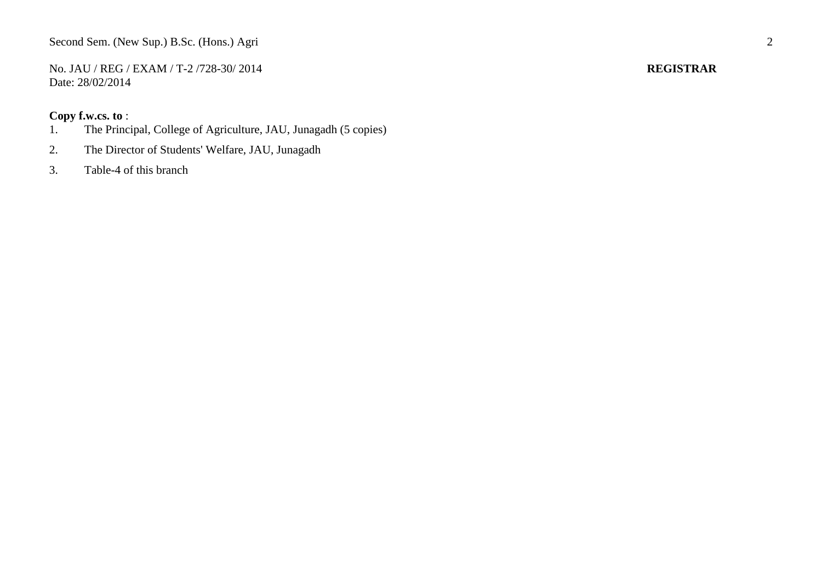No. JAU / REG / EXAM / T-2 /728-30/ 2014 **REGISTRAR** Date: 28/02/2014

- 1. The Principal, College of Agriculture, JAU, Junagadh (5 copies)
- 2. The Director of Students' Welfare, JAU, Junagadh
- 3. Table-4 of this branch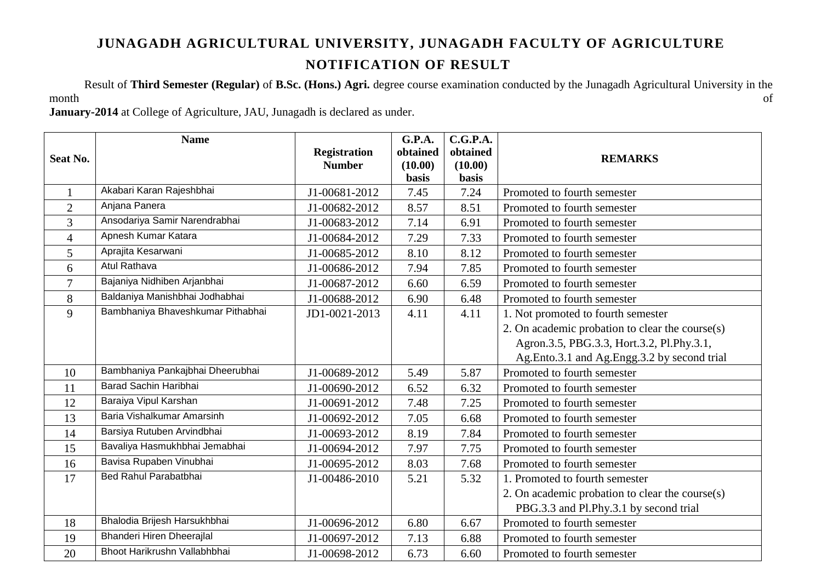Result of **Third Semester (Regular)** of **B.Sc. (Hons.) Agri.** degree course examination conducted by the Junagadh Agricultural University in the month the contract of the contract of  $\alpha$  of  $\alpha$ 

**January-2014** at College of Agriculture, JAU, Junagadh is declared as under.

|                | <b>Name</b>                       |                     | <b>G.P.A.</b> | C.G.P.A.     |                                                 |
|----------------|-----------------------------------|---------------------|---------------|--------------|-------------------------------------------------|
| Seat No.       |                                   | <b>Registration</b> | obtained      | obtained     | <b>REMARKS</b>                                  |
|                |                                   | <b>Number</b>       | (10.00)       | (10.00)      |                                                 |
|                |                                   |                     | <b>basis</b>  | <b>basis</b> |                                                 |
| $\mathbf{1}$   | Akabari Karan Rajeshbhai          | J1-00681-2012       | 7.45          | 7.24         | Promoted to fourth semester                     |
| $\overline{2}$ | Anjana Panera                     | J1-00682-2012       | 8.57          | 8.51         | Promoted to fourth semester                     |
| $\overline{3}$ | Ansodariya Samir Narendrabhai     | J1-00683-2012       | 7.14          | 6.91         | Promoted to fourth semester                     |
| $\overline{4}$ | Apnesh Kumar Katara               | J1-00684-2012       | 7.29          | 7.33         | Promoted to fourth semester                     |
| 5              | Aprajita Kesarwani                | J1-00685-2012       | 8.10          | 8.12         | Promoted to fourth semester                     |
| 6              | <b>Atul Rathava</b>               | J1-00686-2012       | 7.94          | 7.85         | Promoted to fourth semester                     |
| $\overline{7}$ | Bajaniya Nidhiben Arjanbhai       | J1-00687-2012       | 6.60          | 6.59         | Promoted to fourth semester                     |
| 8              | Baldaniya Manishbhai Jodhabhai    | J1-00688-2012       | 6.90          | 6.48         | Promoted to fourth semester                     |
| 9              | Bambhaniya Bhaveshkumar Pithabhai | JD1-0021-2013       | 4.11          | 4.11         | 1. Not promoted to fourth semester              |
|                |                                   |                     |               |              | 2. On academic probation to clear the course(s) |
|                |                                   |                     |               |              | Agron.3.5, PBG.3.3, Hort.3.2, Pl.Phy.3.1,       |
|                |                                   |                     |               |              | Ag.Ento.3.1 and Ag.Engg.3.2 by second trial     |
| 10             | Bambhaniya Pankajbhai Dheerubhai  | J1-00689-2012       | 5.49          | 5.87         | Promoted to fourth semester                     |
| 11             | Barad Sachin Haribhai             | J1-00690-2012       | 6.52          | 6.32         | Promoted to fourth semester                     |
| 12             | Baraiya Vipul Karshan             | J1-00691-2012       | 7.48          | 7.25         | Promoted to fourth semester                     |
| 13             | Baria Vishalkumar Amarsinh        | J1-00692-2012       | 7.05          | 6.68         | Promoted to fourth semester                     |
| 14             | Barsiya Rutuben Arvindbhai        | J1-00693-2012       | 8.19          | 7.84         | Promoted to fourth semester                     |
| 15             | Bavaliya Hasmukhbhai Jemabhai     | J1-00694-2012       | 7.97          | 7.75         | Promoted to fourth semester                     |
| 16             | Bavisa Rupaben Vinubhai           | J1-00695-2012       | 8.03          | 7.68         | Promoted to fourth semester                     |
| 17             | Bed Rahul Parabatbhai             | J1-00486-2010       | 5.21          | 5.32         | 1. Promoted to fourth semester                  |
|                |                                   |                     |               |              | 2. On academic probation to clear the course(s) |
|                |                                   |                     |               |              | PBG.3.3 and Pl.Phy.3.1 by second trial          |
| 18             | Bhalodia Brijesh Harsukhbhai      | J1-00696-2012       | 6.80          | 6.67         | Promoted to fourth semester                     |
| 19             | Bhanderi Hiren Dheerajlal         | J1-00697-2012       | 7.13          | 6.88         | Promoted to fourth semester                     |
| 20             | Bhoot Harikrushn Vallabhbhai      | J1-00698-2012       | 6.73          | 6.60         | Promoted to fourth semester                     |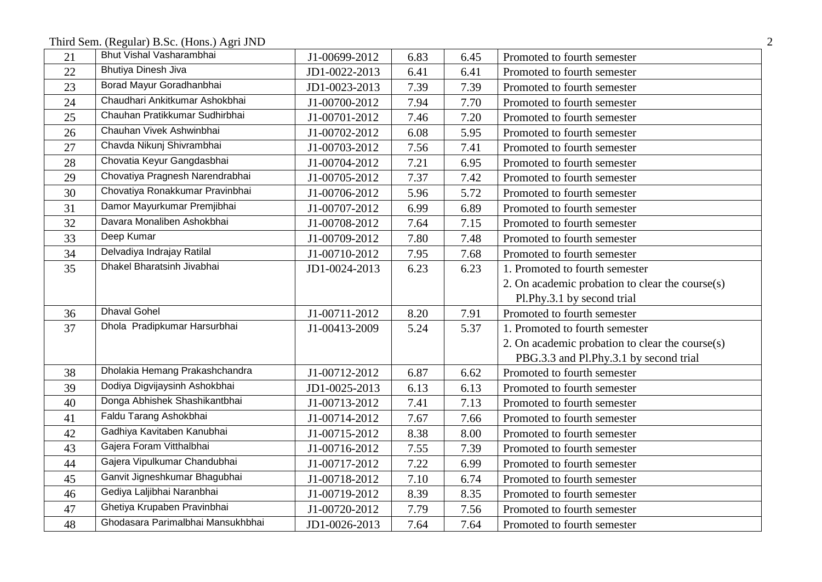Third Sem. (Regular) B.Sc. (Hons.) Agri JND 2

| 21 | Bhut Vishal Vasharambhai          | J1-00699-2012 | 6.83 | 6.45 | Promoted to fourth semester                     |
|----|-----------------------------------|---------------|------|------|-------------------------------------------------|
| 22 | <b>Bhutiya Dinesh Jiva</b>        | JD1-0022-2013 | 6.41 | 6.41 | Promoted to fourth semester                     |
| 23 | Borad Mayur Goradhanbhai          | JD1-0023-2013 | 7.39 | 7.39 | Promoted to fourth semester                     |
| 24 | Chaudhari Ankitkumar Ashokbhai    | J1-00700-2012 | 7.94 | 7.70 | Promoted to fourth semester                     |
| 25 | Chauhan Pratikkumar Sudhirbhai    | J1-00701-2012 | 7.46 | 7.20 | Promoted to fourth semester                     |
| 26 | Chauhan Vivek Ashwinbhai          | J1-00702-2012 | 6.08 | 5.95 | Promoted to fourth semester                     |
| 27 | Chavda Nikunj Shivrambhai         | J1-00703-2012 | 7.56 | 7.41 | Promoted to fourth semester                     |
| 28 | Chovatia Keyur Gangdasbhai        | J1-00704-2012 | 7.21 | 6.95 | Promoted to fourth semester                     |
| 29 | Chovatiya Pragnesh Narendrabhai   | J1-00705-2012 | 7.37 | 7.42 | Promoted to fourth semester                     |
| 30 | Chovatiya Ronakkumar Pravinbhai   | J1-00706-2012 | 5.96 | 5.72 | Promoted to fourth semester                     |
| 31 | Damor Mayurkumar Premjibhai       | J1-00707-2012 | 6.99 | 6.89 | Promoted to fourth semester                     |
| 32 | Davara Monaliben Ashokbhai        | J1-00708-2012 | 7.64 | 7.15 | Promoted to fourth semester                     |
| 33 | Deep Kumar                        | J1-00709-2012 | 7.80 | 7.48 | Promoted to fourth semester                     |
| 34 | Delvadiya Indrajay Ratilal        | J1-00710-2012 | 7.95 | 7.68 | Promoted to fourth semester                     |
| 35 | Dhakel Bharatsinh Jivabhai        | JD1-0024-2013 | 6.23 | 6.23 | 1. Promoted to fourth semester                  |
|    |                                   |               |      |      | 2. On academic probation to clear the course(s) |
|    |                                   |               |      |      | Pl.Phy.3.1 by second trial                      |
| 36 | <b>Dhaval Gohel</b>               | J1-00711-2012 | 8.20 | 7.91 | Promoted to fourth semester                     |
| 37 | Dhola Pradipkumar Harsurbhai      | J1-00413-2009 | 5.24 | 5.37 | 1. Promoted to fourth semester                  |
|    |                                   |               |      |      | 2. On academic probation to clear the course(s) |
|    |                                   |               |      |      | PBG.3.3 and Pl.Phy.3.1 by second trial          |
| 38 | Dholakia Hemang Prakashchandra    | J1-00712-2012 | 6.87 | 6.62 | Promoted to fourth semester                     |
| 39 | Dodiya Digvijaysinh Ashokbhai     | JD1-0025-2013 | 6.13 | 6.13 | Promoted to fourth semester                     |
| 40 | Donga Abhishek Shashikantbhai     | J1-00713-2012 | 7.41 | 7.13 | Promoted to fourth semester                     |
| 41 | Faldu Tarang Ashokbhai            | J1-00714-2012 | 7.67 | 7.66 | Promoted to fourth semester                     |
| 42 | Gadhiya Kavitaben Kanubhai        | J1-00715-2012 | 8.38 | 8.00 | Promoted to fourth semester                     |
| 43 | Gajera Foram Vitthalbhai          | J1-00716-2012 | 7.55 | 7.39 | Promoted to fourth semester                     |
| 44 | Gajera Vipulkumar Chandubhai      | J1-00717-2012 | 7.22 | 6.99 | Promoted to fourth semester                     |
| 45 | Ganvit Jigneshkumar Bhagubhai     | J1-00718-2012 | 7.10 | 6.74 | Promoted to fourth semester                     |
| 46 | Gediya Laljibhai Naranbhai        | J1-00719-2012 | 8.39 | 8.35 | Promoted to fourth semester                     |
| 47 | Ghetiya Krupaben Pravinbhai       | J1-00720-2012 | 7.79 | 7.56 | Promoted to fourth semester                     |
| 48 | Ghodasara Parimalbhai Mansukhbhai | JD1-0026-2013 | 7.64 | 7.64 | Promoted to fourth semester                     |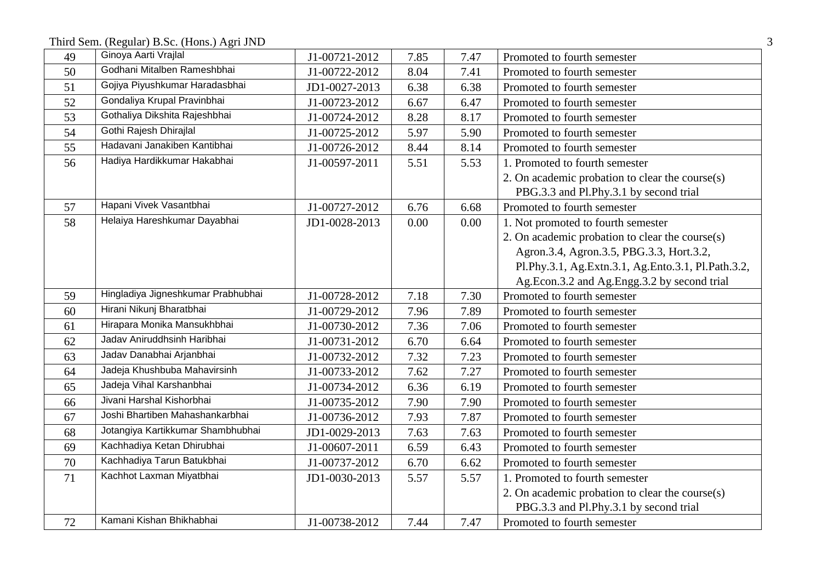Third Sem. (Regular) B.Sc. (Hons.) Agri JND 3

| 49 | Ginoya Aarti Vrajlal               | J1-00721-2012 | 7.85 | 7.47 | Promoted to fourth semester                        |
|----|------------------------------------|---------------|------|------|----------------------------------------------------|
| 50 | Godhani Mitalben Rameshbhai        | J1-00722-2012 | 8.04 | 7.41 | Promoted to fourth semester                        |
| 51 | Gojiya Piyushkumar Haradasbhai     | JD1-0027-2013 | 6.38 | 6.38 | Promoted to fourth semester                        |
| 52 | Gondaliya Krupal Pravinbhai        | J1-00723-2012 | 6.67 | 6.47 | Promoted to fourth semester                        |
| 53 | Gothaliya Dikshita Rajeshbhai      | J1-00724-2012 | 8.28 | 8.17 | Promoted to fourth semester                        |
| 54 | Gothi Rajesh Dhirajlal             | J1-00725-2012 | 5.97 | 5.90 | Promoted to fourth semester                        |
| 55 | Hadavani Janakiben Kantibhai       | J1-00726-2012 | 8.44 | 8.14 | Promoted to fourth semester                        |
| 56 | Hadiya Hardikkumar Hakabhai        | J1-00597-2011 | 5.51 | 5.53 | 1. Promoted to fourth semester                     |
|    |                                    |               |      |      | 2. On academic probation to clear the course(s)    |
|    |                                    |               |      |      | PBG.3.3 and Pl.Phy.3.1 by second trial             |
| 57 | Hapani Vivek Vasantbhai            | J1-00727-2012 | 6.76 | 6.68 | Promoted to fourth semester                        |
| 58 | Helaiya Hareshkumar Dayabhai       | JD1-0028-2013 | 0.00 | 0.00 | 1. Not promoted to fourth semester                 |
|    |                                    |               |      |      | 2. On academic probation to clear the course(s)    |
|    |                                    |               |      |      | Agron.3.4, Agron.3.5, PBG.3.3, Hort.3.2,           |
|    |                                    |               |      |      | Pl.Phy.3.1, Ag.Extn.3.1, Ag.Ento.3.1, Pl.Path.3.2, |
|    |                                    |               |      |      | Ag.Econ.3.2 and Ag.Engg.3.2 by second trial        |
| 59 | Hingladiya Jigneshkumar Prabhubhai | J1-00728-2012 | 7.18 | 7.30 | Promoted to fourth semester                        |
| 60 | Hirani Nikunj Bharatbhai           | J1-00729-2012 | 7.96 | 7.89 | Promoted to fourth semester                        |
| 61 | Hirapara Monika Mansukhbhai        | J1-00730-2012 | 7.36 | 7.06 | Promoted to fourth semester                        |
| 62 | Jadav Aniruddhsinh Haribhai        | J1-00731-2012 | 6.70 | 6.64 | Promoted to fourth semester                        |
| 63 | Jadav Danabhai Arjanbhai           | J1-00732-2012 | 7.32 | 7.23 | Promoted to fourth semester                        |
| 64 | Jadeja Khushbuba Mahavirsinh       | J1-00733-2012 | 7.62 | 7.27 | Promoted to fourth semester                        |
| 65 | Jadeja Vihal Karshanbhai           | J1-00734-2012 | 6.36 | 6.19 | Promoted to fourth semester                        |
| 66 | Jivani Harshal Kishorbhai          | J1-00735-2012 | 7.90 | 7.90 | Promoted to fourth semester                        |
| 67 | Joshi Bhartiben Mahashankarbhai    | J1-00736-2012 | 7.93 | 7.87 | Promoted to fourth semester                        |
| 68 | Jotangiya Kartikkumar Shambhubhai  | JD1-0029-2013 | 7.63 | 7.63 | Promoted to fourth semester                        |
| 69 | Kachhadiya Ketan Dhirubhai         | J1-00607-2011 | 6.59 | 6.43 | Promoted to fourth semester                        |
| 70 | Kachhadiya Tarun Batukbhai         | J1-00737-2012 | 6.70 | 6.62 | Promoted to fourth semester                        |
| 71 | Kachhot Laxman Miyatbhai           | JD1-0030-2013 | 5.57 | 5.57 | 1. Promoted to fourth semester                     |
|    |                                    |               |      |      | 2. On academic probation to clear the course(s)    |
|    |                                    |               |      |      | PBG.3.3 and Pl.Phy.3.1 by second trial             |
| 72 | Kamani Kishan Bhikhabhai           | J1-00738-2012 | 7.44 | 7.47 | Promoted to fourth semester                        |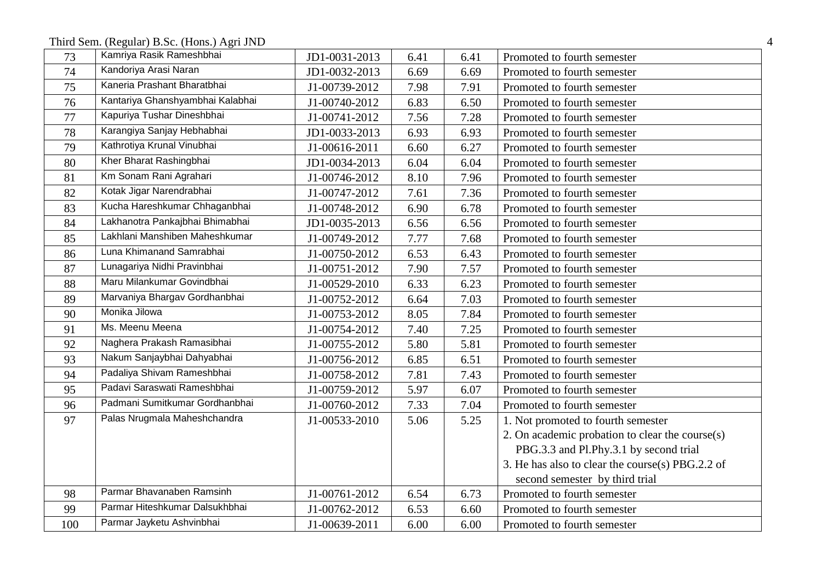Third Sem. (Regular) B.Sc. (Hons.) Agri JND 4

| 73  | Kamriya Rasik Rameshbhai         | JD1-0031-2013 | 6.41 | 6.41 | Promoted to fourth semester                      |
|-----|----------------------------------|---------------|------|------|--------------------------------------------------|
| 74  | Kandoriya Arasi Naran            | JD1-0032-2013 | 6.69 | 6.69 | Promoted to fourth semester                      |
| 75  | Kaneria Prashant Bharatbhai      | J1-00739-2012 | 7.98 | 7.91 | Promoted to fourth semester                      |
| 76  | Kantariya Ghanshyambhai Kalabhai | J1-00740-2012 | 6.83 | 6.50 | Promoted to fourth semester                      |
| 77  | Kapuriya Tushar Dineshbhai       | J1-00741-2012 | 7.56 | 7.28 | Promoted to fourth semester                      |
| 78  | Karangiya Sanjay Hebhabhai       | JD1-0033-2013 | 6.93 | 6.93 | Promoted to fourth semester                      |
| 79  | Kathrotiya Krunal Vinubhai       | J1-00616-2011 | 6.60 | 6.27 | Promoted to fourth semester                      |
| 80  | Kher Bharat Rashingbhai          | JD1-0034-2013 | 6.04 | 6.04 | Promoted to fourth semester                      |
| 81  | Km Sonam Rani Agrahari           | J1-00746-2012 | 8.10 | 7.96 | Promoted to fourth semester                      |
| 82  | Kotak Jigar Narendrabhai         | J1-00747-2012 | 7.61 | 7.36 | Promoted to fourth semester                      |
| 83  | Kucha Hareshkumar Chhaganbhai    | J1-00748-2012 | 6.90 | 6.78 | Promoted to fourth semester                      |
| 84  | Lakhanotra Pankajbhai Bhimabhai  | JD1-0035-2013 | 6.56 | 6.56 | Promoted to fourth semester                      |
| 85  | Lakhlani Manshiben Maheshkumar   | J1-00749-2012 | 7.77 | 7.68 | Promoted to fourth semester                      |
| 86  | Luna Khimanand Samrabhai         | J1-00750-2012 | 6.53 | 6.43 | Promoted to fourth semester                      |
| 87  | Lunagariya Nidhi Pravinbhai      | J1-00751-2012 | 7.90 | 7.57 | Promoted to fourth semester                      |
| 88  | Maru Milankumar Govindbhai       | J1-00529-2010 | 6.33 | 6.23 | Promoted to fourth semester                      |
| 89  | Marvaniya Bhargav Gordhanbhai    | J1-00752-2012 | 6.64 | 7.03 | Promoted to fourth semester                      |
| 90  | Monika Jilowa                    | J1-00753-2012 | 8.05 | 7.84 | Promoted to fourth semester                      |
| 91  | Ms. Meenu Meena                  | J1-00754-2012 | 7.40 | 7.25 | Promoted to fourth semester                      |
| 92  | Naghera Prakash Ramasibhai       | J1-00755-2012 | 5.80 | 5.81 | Promoted to fourth semester                      |
| 93  | Nakum Sanjaybhai Dahyabhai       | J1-00756-2012 | 6.85 | 6.51 | Promoted to fourth semester                      |
| 94  | Padaliya Shivam Rameshbhai       | J1-00758-2012 | 7.81 | 7.43 | Promoted to fourth semester                      |
| 95  | Padavi Saraswati Rameshbhai      | J1-00759-2012 | 5.97 | 6.07 | Promoted to fourth semester                      |
| 96  | Padmani Sumitkumar Gordhanbhai   | J1-00760-2012 | 7.33 | 7.04 | Promoted to fourth semester                      |
| 97  | Palas Nrugmala Maheshchandra     | J1-00533-2010 | 5.06 | 5.25 | 1. Not promoted to fourth semester               |
|     |                                  |               |      |      | 2. On academic probation to clear the course(s)  |
|     |                                  |               |      |      | PBG.3.3 and Pl.Phy.3.1 by second trial           |
|     |                                  |               |      |      | 3. He has also to clear the course(s) PBG.2.2 of |
|     |                                  |               |      |      | second semester by third trial                   |
| 98  | Parmar Bhavanaben Ramsinh        | J1-00761-2012 | 6.54 | 6.73 | Promoted to fourth semester                      |
| 99  | Parmar Hiteshkumar Dalsukhbhai   | J1-00762-2012 | 6.53 | 6.60 | Promoted to fourth semester                      |
| 100 | Parmar Jayketu Ashvinbhai        | J1-00639-2011 | 6.00 | 6.00 | Promoted to fourth semester                      |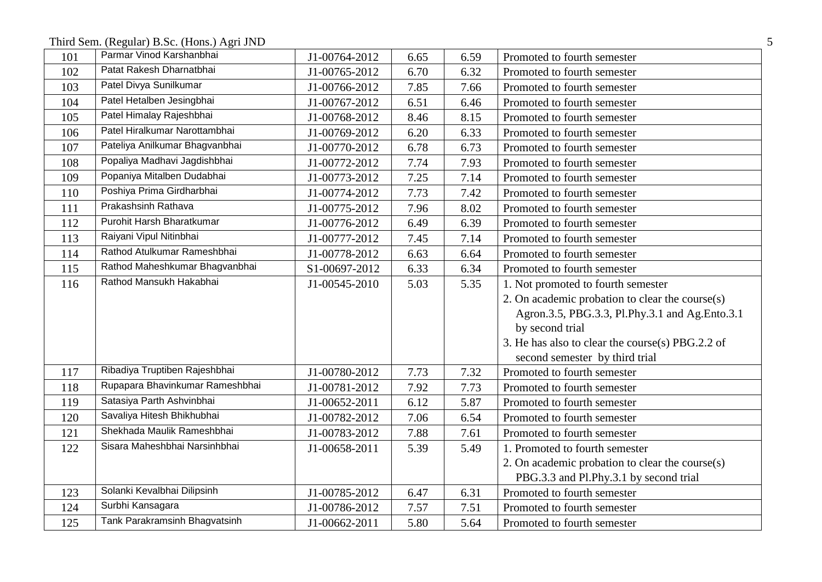Third Sem. (Regular) B.Sc. (Hons.) Agri JND 5

| 101 | Parmar Vinod Karshanbhai        | J1-00764-2012 | 6.65 | 6.59 | Promoted to fourth semester                      |
|-----|---------------------------------|---------------|------|------|--------------------------------------------------|
| 102 | Patat Rakesh Dharnatbhai        | J1-00765-2012 | 6.70 | 6.32 | Promoted to fourth semester                      |
| 103 | Patel Divya Sunilkumar          | J1-00766-2012 | 7.85 | 7.66 | Promoted to fourth semester                      |
| 104 | Patel Hetalben Jesingbhai       | J1-00767-2012 | 6.51 | 6.46 | Promoted to fourth semester                      |
| 105 | Patel Himalay Rajeshbhai        | J1-00768-2012 | 8.46 | 8.15 | Promoted to fourth semester                      |
| 106 | Patel Hiralkumar Narottambhai   | J1-00769-2012 | 6.20 | 6.33 | Promoted to fourth semester                      |
| 107 | Pateliya Anilkumar Bhagvanbhai  | J1-00770-2012 | 6.78 | 6.73 | Promoted to fourth semester                      |
| 108 | Popaliya Madhavi Jagdishbhai    | J1-00772-2012 | 7.74 | 7.93 | Promoted to fourth semester                      |
| 109 | Popaniya Mitalben Dudabhai      | J1-00773-2012 | 7.25 | 7.14 | Promoted to fourth semester                      |
| 110 | Poshiya Prima Girdharbhai       | J1-00774-2012 | 7.73 | 7.42 | Promoted to fourth semester                      |
| 111 | Prakashsinh Rathava             | J1-00775-2012 | 7.96 | 8.02 | Promoted to fourth semester                      |
| 112 | Purohit Harsh Bharatkumar       | J1-00776-2012 | 6.49 | 6.39 | Promoted to fourth semester                      |
| 113 | Raiyani Vipul Nitinbhai         | J1-00777-2012 | 7.45 | 7.14 | Promoted to fourth semester                      |
| 114 | Rathod Atulkumar Rameshbhai     | J1-00778-2012 | 6.63 | 6.64 | Promoted to fourth semester                      |
| 115 | Rathod Maheshkumar Bhagvanbhai  | S1-00697-2012 | 6.33 | 6.34 | Promoted to fourth semester                      |
| 116 | Rathod Mansukh Hakabhai         | J1-00545-2010 | 5.03 | 5.35 | 1. Not promoted to fourth semester               |
|     |                                 |               |      |      | 2. On academic probation to clear the course(s)  |
|     |                                 |               |      |      | Agron.3.5, PBG.3.3, Pl.Phy.3.1 and Ag.Ento.3.1   |
|     |                                 |               |      |      | by second trial                                  |
|     |                                 |               |      |      | 3. He has also to clear the course(s) PBG.2.2 of |
|     |                                 |               |      |      | second semester by third trial                   |
| 117 | Ribadiya Truptiben Rajeshbhai   | J1-00780-2012 | 7.73 | 7.32 | Promoted to fourth semester                      |
| 118 | Rupapara Bhavinkumar Rameshbhai | J1-00781-2012 | 7.92 | 7.73 | Promoted to fourth semester                      |
| 119 | Satasiya Parth Ashvinbhai       | J1-00652-2011 | 6.12 | 5.87 | Promoted to fourth semester                      |
| 120 | Savaliya Hitesh Bhikhubhai      | J1-00782-2012 | 7.06 | 6.54 | Promoted to fourth semester                      |
| 121 | Shekhada Maulik Rameshbhai      | J1-00783-2012 | 7.88 | 7.61 | Promoted to fourth semester                      |
| 122 | Sisara Maheshbhai Narsinhbhai   | J1-00658-2011 | 5.39 | 5.49 | 1. Promoted to fourth semester                   |
|     |                                 |               |      |      | 2. On academic probation to clear the course(s)  |
|     |                                 |               |      |      | PBG.3.3 and Pl.Phy.3.1 by second trial           |
| 123 | Solanki Kevalbhai Dilipsinh     | J1-00785-2012 | 6.47 | 6.31 | Promoted to fourth semester                      |
| 124 | Surbhi Kansagara                | J1-00786-2012 | 7.57 | 7.51 | Promoted to fourth semester                      |
| 125 | Tank Parakramsinh Bhagvatsinh   | J1-00662-2011 | 5.80 | 5.64 | Promoted to fourth semester                      |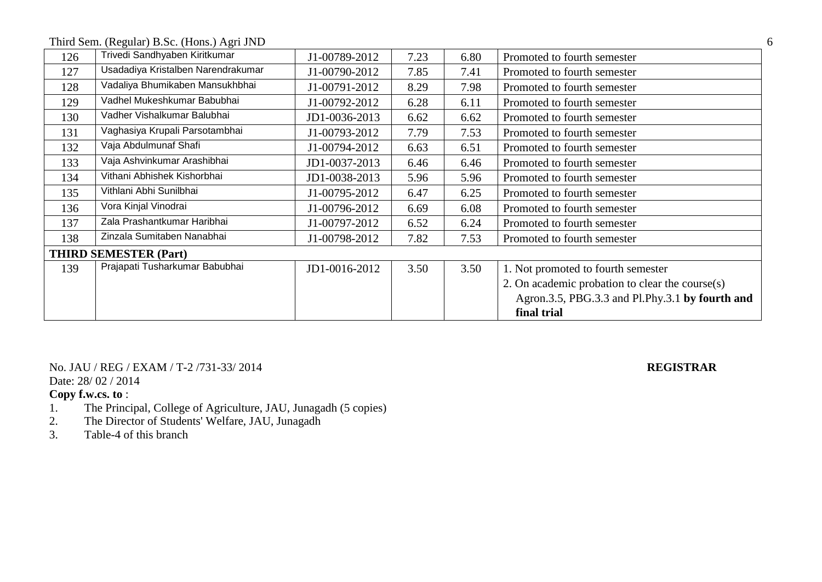Third Sem. (Regular) B.Sc. (Hons.) Agri JND 6

| Trivedi Sandhyaben Kiritkumar      | J1-00789-2012 | 7.23 | 6.80 | Promoted to fourth semester                     |
|------------------------------------|---------------|------|------|-------------------------------------------------|
| Usadadiya Kristalben Narendrakumar | J1-00790-2012 | 7.85 | 7.41 | Promoted to fourth semester                     |
| Vadaliya Bhumikaben Mansukhbhai    | J1-00791-2012 | 8.29 | 7.98 | Promoted to fourth semester                     |
| Vadhel Mukeshkumar Babubhai        | J1-00792-2012 | 6.28 | 6.11 | Promoted to fourth semester                     |
| Vadher Vishalkumar Balubhai        | JD1-0036-2013 | 6.62 | 6.62 | Promoted to fourth semester                     |
| Vaghasiya Krupali Parsotambhai     | J1-00793-2012 | 7.79 | 7.53 | Promoted to fourth semester                     |
| Vaja Abdulmunaf Shafi              | J1-00794-2012 | 6.63 | 6.51 | Promoted to fourth semester                     |
| Vaja Ashvinkumar Arashibhai        | JD1-0037-2013 | 6.46 | 6.46 | Promoted to fourth semester                     |
| Vithani Abhishek Kishorbhai        | JD1-0038-2013 | 5.96 | 5.96 | Promoted to fourth semester                     |
| Vithlani Abhi Sunilbhai            | J1-00795-2012 | 6.47 | 6.25 | Promoted to fourth semester                     |
| Vora Kinjal Vinodrai               | J1-00796-2012 | 6.69 | 6.08 | Promoted to fourth semester                     |
| Zala Prashantkumar Haribhai        | J1-00797-2012 | 6.52 | 6.24 | Promoted to fourth semester                     |
| Zinzala Sumitaben Nanabhai         | J1-00798-2012 | 7.82 | 7.53 | Promoted to fourth semester                     |
| <b>THIRD SEMESTER (Part)</b>       |               |      |      |                                                 |
| Prajapati Tusharkumar Babubhai     | JD1-0016-2012 | 3.50 | 3.50 | 1. Not promoted to fourth semester              |
|                                    |               |      |      | 2. On academic probation to clear the course(s) |
|                                    |               |      |      | Agron.3.5, PBG.3.3 and Pl.Phy.3.1 by fourth and |
|                                    |               |      |      | final trial                                     |
|                                    |               |      |      |                                                 |

No. JAU / REG / EXAM / T-2 /731-33/ 2014 **REGISTRAR** Date: 28/ 02 / 2014

- 1. The Principal, College of Agriculture, JAU, Junagadh (5 copies)
- 2. The Director of Students' Welfare, JAU, Junagadh
- 3. Table-4 of this branch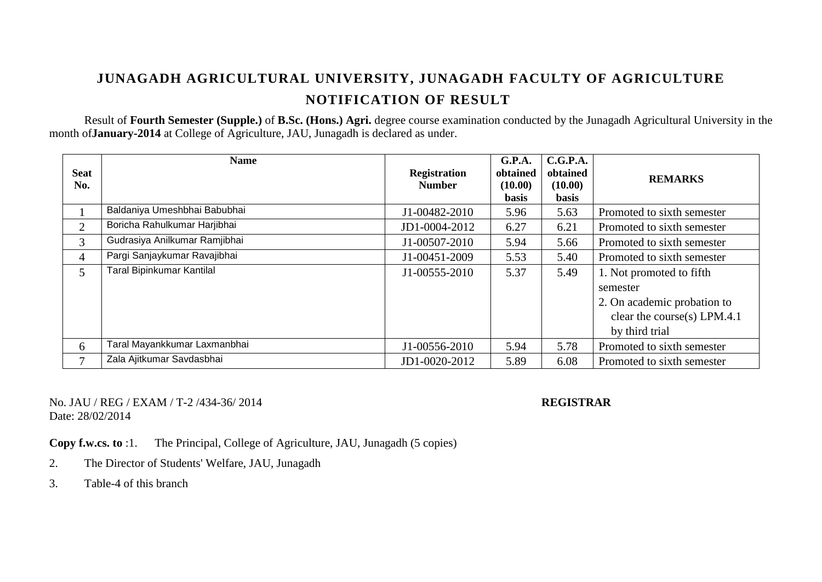Result of **Fourth Semester (Supple.)** of **B.Sc. (Hons.) Agri.** degree course examination conducted by the Junagadh Agricultural University in the month of**January-2014** at College of Agriculture, JAU, Junagadh is declared as under.

| <b>Seat</b><br>No. | <b>Name</b>                      | <b>Registration</b><br><b>Number</b> | G.P.A.<br>obtained<br>(10.00)<br><b>basis</b> | C.G.P.A.<br>obtained<br>(10.00)<br><b>basis</b> | <b>REMARKS</b>                                                                                                       |
|--------------------|----------------------------------|--------------------------------------|-----------------------------------------------|-------------------------------------------------|----------------------------------------------------------------------------------------------------------------------|
|                    | Baldaniya Umeshbhai Babubhai     | J1-00482-2010                        | 5.96                                          | 5.63                                            | Promoted to sixth semester                                                                                           |
| $\overline{2}$     | Boricha Rahulkumar Harjibhai     | JD1-0004-2012                        | 6.27                                          | 6.21                                            | Promoted to sixth semester                                                                                           |
| 3                  | Gudrasiya Anilkumar Ramjibhai    | J1-00507-2010                        | 5.94                                          | 5.66                                            | Promoted to sixth semester                                                                                           |
| $\overline{4}$     | Pargi Sanjaykumar Ravajibhai     | J1-00451-2009                        | 5.53                                          | 5.40                                            | Promoted to sixth semester                                                                                           |
| 5                  | <b>Taral Bipinkumar Kantilal</b> | J1-00555-2010                        | 5.37                                          | 5.49                                            | 1. Not promoted to fifth<br>semester<br>2. On academic probation to<br>clear the course(s) LPM.4.1<br>by third trial |
| 6                  | Taral Mayankkumar Laxmanbhai     | J1-00556-2010                        | 5.94                                          | 5.78                                            | Promoted to sixth semester                                                                                           |
| $\overline{7}$     | Zala Ajitkumar Savdasbhai        | JD1-0020-2012                        | 5.89                                          | 6.08                                            | Promoted to sixth semester                                                                                           |

### No. JAU / REG / EXAM / T-2 /434-36/ 2014 **REGISTRAR** Date: 28/02/2014

**Copy f.w.cs. to** :1. The Principal, College of Agriculture, JAU, Junagadh (5 copies)

- 2. The Director of Students' Welfare, JAU, Junagadh
- 3. Table-4 of this branch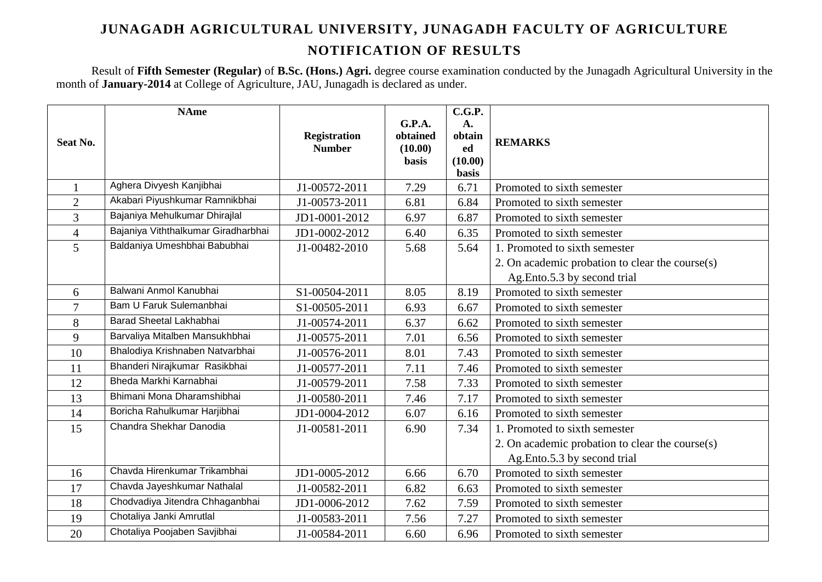Result of **Fifth Semester (Regular)** of **B.Sc. (Hons.) Agri.** degree course examination conducted by the Junagadh Agricultural University in the month of **January-2014** at College of Agriculture, JAU, Junagadh is declared as under.

|                | <b>NAme</b>                         |                     |                    | C.G.P.       |                                                    |
|----------------|-------------------------------------|---------------------|--------------------|--------------|----------------------------------------------------|
|                |                                     | <b>Registration</b> | G.P.A.<br>obtained | A.<br>obtain |                                                    |
| Seat No.       |                                     | <b>Number</b>       | (10.00)            | ed           | <b>REMARKS</b>                                     |
|                |                                     |                     | <b>basis</b>       | (10.00)      |                                                    |
|                |                                     |                     |                    | basis        |                                                    |
|                | Aghera Divyesh Kanjibhai            | J1-00572-2011       | 7.29               | 6.71         | Promoted to sixth semester                         |
| $\overline{2}$ | Akabari Piyushkumar Ramnikbhai      | J1-00573-2011       | 6.81               | 6.84         | Promoted to sixth semester                         |
| 3              | Bajaniya Mehulkumar Dhirajlal       | JD1-0001-2012       | 6.97               | 6.87         | Promoted to sixth semester                         |
| $\overline{4}$ | Bajaniya Viththalkumar Giradharbhai | JD1-0002-2012       | 6.40               | 6.35         | Promoted to sixth semester                         |
| 5              | Baldaniya Umeshbhai Babubhai        | J1-00482-2010       | 5.68               | 5.64         | 1. Promoted to sixth semester                      |
|                |                                     |                     |                    |              | 2. On academic probation to clear the course $(s)$ |
|                |                                     |                     |                    |              | Ag.Ento.5.3 by second trial                        |
| 6              | Balwani Anmol Kanubhai              | S1-00504-2011       | 8.05               | 8.19         | Promoted to sixth semester                         |
| $\overline{7}$ | Bam U Faruk Sulemanbhai             | S1-00505-2011       | 6.93               | 6.67         | Promoted to sixth semester                         |
| 8              | Barad Sheetal Lakhabhai             | J1-00574-2011       | 6.37               | 6.62         | Promoted to sixth semester                         |
| 9              | Barvaliya Mitalben Mansukhbhai      | J1-00575-2011       | 7.01               | 6.56         | Promoted to sixth semester                         |
| 10             | Bhalodiya Krishnaben Natvarbhai     | J1-00576-2011       | 8.01               | 7.43         | Promoted to sixth semester                         |
| 11             | Bhanderi Nirajkumar Rasikbhai       | J1-00577-2011       | 7.11               | 7.46         | Promoted to sixth semester                         |
| 12             | Bheda Markhi Karnabhai              | J1-00579-2011       | 7.58               | 7.33         | Promoted to sixth semester                         |
| 13             | Bhimani Mona Dharamshibhai          | J1-00580-2011       | 7.46               | 7.17         | Promoted to sixth semester                         |
| 14             | Boricha Rahulkumar Harjibhai        | JD1-0004-2012       | 6.07               | 6.16         | Promoted to sixth semester                         |
| 15             | Chandra Shekhar Danodia             | J1-00581-2011       | 6.90               | 7.34         | 1. Promoted to sixth semester                      |
|                |                                     |                     |                    |              | 2. On academic probation to clear the course(s)    |
|                |                                     |                     |                    |              | Ag.Ento.5.3 by second trial                        |
| 16             | Chavda Hirenkumar Trikambhai        | JD1-0005-2012       | 6.66               | 6.70         | Promoted to sixth semester                         |
| 17             | Chavda Jayeshkumar Nathalal         | J1-00582-2011       | 6.82               | 6.63         | Promoted to sixth semester                         |
| 18             | Chodvadiya Jitendra Chhaganbhai     | JD1-0006-2012       | 7.62               | 7.59         | Promoted to sixth semester                         |
| 19             | Chotaliya Janki Amrutlal            | J1-00583-2011       | 7.56               | 7.27         | Promoted to sixth semester                         |
| 20             | Chotaliya Poojaben Savjibhai        | J1-00584-2011       | 6.60               | 6.96         | Promoted to sixth semester                         |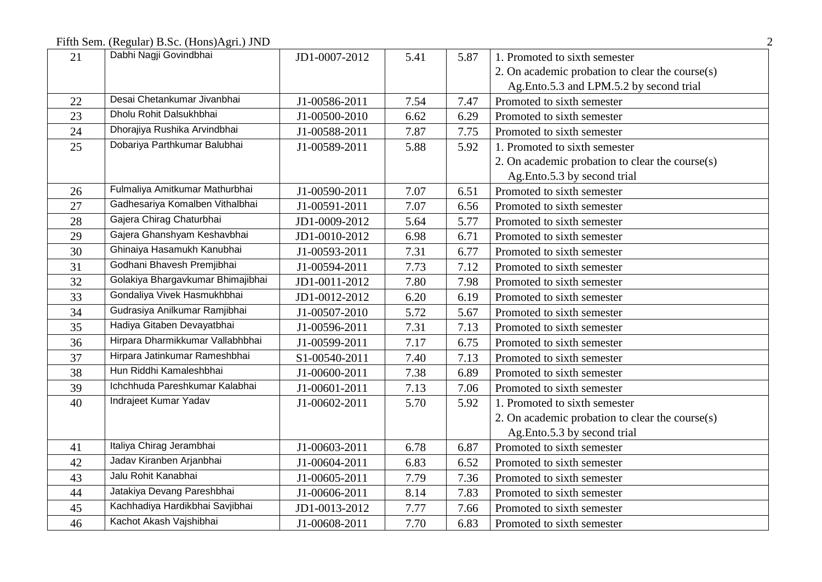Fifth Sem. (Regular) B.Sc. (Hons)Agri.) JND 2

| 21 | Dabhi Nagji Govindbhai            | JD1-0007-2012 | 5.41 | 5.87 | 1. Promoted to sixth semester                   |
|----|-----------------------------------|---------------|------|------|-------------------------------------------------|
|    |                                   |               |      |      | 2. On academic probation to clear the course(s) |
|    |                                   |               |      |      | Ag.Ento.5.3 and LPM.5.2 by second trial         |
| 22 | Desai Chetankumar Jivanbhai       | J1-00586-2011 | 7.54 | 7.47 | Promoted to sixth semester                      |
| 23 | Dholu Rohit Dalsukhbhai           | J1-00500-2010 | 6.62 | 6.29 | Promoted to sixth semester                      |
| 24 | Dhorajiya Rushika Arvindbhai      | J1-00588-2011 | 7.87 | 7.75 | Promoted to sixth semester                      |
| 25 | Dobariya Parthkumar Balubhai      | J1-00589-2011 | 5.88 | 5.92 | 1. Promoted to sixth semester                   |
|    |                                   |               |      |      | 2. On academic probation to clear the course(s) |
|    |                                   |               |      |      | Ag.Ento.5.3 by second trial                     |
| 26 | Fulmaliya Amitkumar Mathurbhai    | J1-00590-2011 | 7.07 | 6.51 | Promoted to sixth semester                      |
| 27 | Gadhesariya Komalben Vithalbhai   | J1-00591-2011 | 7.07 | 6.56 | Promoted to sixth semester                      |
| 28 | Gajera Chirag Chaturbhai          | JD1-0009-2012 | 5.64 | 5.77 | Promoted to sixth semester                      |
| 29 | Gajera Ghanshyam Keshavbhai       | JD1-0010-2012 | 6.98 | 6.71 | Promoted to sixth semester                      |
| 30 | Ghinaiya Hasamukh Kanubhai        | J1-00593-2011 | 7.31 | 6.77 | Promoted to sixth semester                      |
| 31 | Godhani Bhavesh Premjibhai        | J1-00594-2011 | 7.73 | 7.12 | Promoted to sixth semester                      |
| 32 | Golakiya Bhargavkumar Bhimajibhai | JD1-0011-2012 | 7.80 | 7.98 | Promoted to sixth semester                      |
| 33 | Gondaliya Vivek Hasmukhbhai       | JD1-0012-2012 | 6.20 | 6.19 | Promoted to sixth semester                      |
| 34 | Gudrasiya Anilkumar Ramjibhai     | J1-00507-2010 | 5.72 | 5.67 | Promoted to sixth semester                      |
| 35 | Hadiya Gitaben Devayatbhai        | J1-00596-2011 | 7.31 | 7.13 | Promoted to sixth semester                      |
| 36 | Hirpara Dharmikkumar Vallabhbhai  | J1-00599-2011 | 7.17 | 6.75 | Promoted to sixth semester                      |
| 37 | Hirpara Jatinkumar Rameshbhai     | S1-00540-2011 | 7.40 | 7.13 | Promoted to sixth semester                      |
| 38 | Hun Riddhi Kamaleshbhai           | J1-00600-2011 | 7.38 | 6.89 | Promoted to sixth semester                      |
| 39 | Ichchhuda Pareshkumar Kalabhai    | J1-00601-2011 | 7.13 | 7.06 | Promoted to sixth semester                      |
| 40 | Indrajeet Kumar Yadav             | J1-00602-2011 | 5.70 | 5.92 | 1. Promoted to sixth semester                   |
|    |                                   |               |      |      | 2. On academic probation to clear the course(s) |
|    |                                   |               |      |      | Ag.Ento.5.3 by second trial                     |
| 41 | Italiya Chirag Jerambhai          | J1-00603-2011 | 6.78 | 6.87 | Promoted to sixth semester                      |
| 42 | Jadav Kiranben Arjanbhai          | J1-00604-2011 | 6.83 | 6.52 | Promoted to sixth semester                      |
| 43 | Jalu Rohit Kanabhai               | J1-00605-2011 | 7.79 | 7.36 | Promoted to sixth semester                      |
| 44 | Jatakiya Devang Pareshbhai        | J1-00606-2011 | 8.14 | 7.83 | Promoted to sixth semester                      |
| 45 | Kachhadiya Hardikbhai Savjibhai   | JD1-0013-2012 | 7.77 | 7.66 | Promoted to sixth semester                      |
| 46 | Kachot Akash Vajshibhai           | J1-00608-2011 | 7.70 | 6.83 | Promoted to sixth semester                      |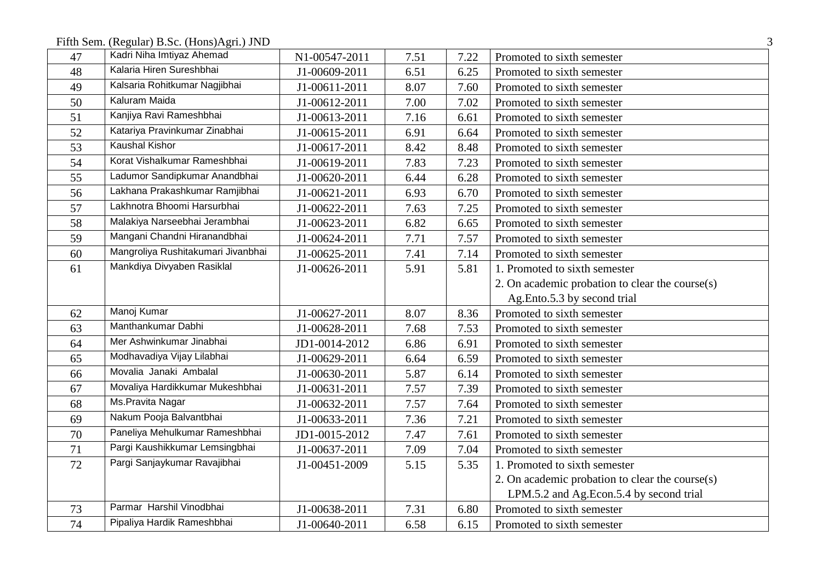Fifth Sem. (Regular) B.Sc. (Hons)Agri.) JND 3

| 47 | Kadri Niha Imtiyaz Ahemad          | N1-00547-2011 | 7.51 | 7.22 | Promoted to sixth semester                      |
|----|------------------------------------|---------------|------|------|-------------------------------------------------|
| 48 | Kalaria Hiren Sureshbhai           | J1-00609-2011 | 6.51 | 6.25 | Promoted to sixth semester                      |
| 49 | Kalsaria Rohitkumar Nagjibhai      | J1-00611-2011 | 8.07 | 7.60 | Promoted to sixth semester                      |
| 50 | Kaluram Maida                      | J1-00612-2011 | 7.00 | 7.02 | Promoted to sixth semester                      |
| 51 | Kanjiya Ravi Rameshbhai            | J1-00613-2011 | 7.16 | 6.61 | Promoted to sixth semester                      |
| 52 | Katariya Pravinkumar Zinabhai      | J1-00615-2011 | 6.91 | 6.64 | Promoted to sixth semester                      |
| 53 | <b>Kaushal Kishor</b>              | J1-00617-2011 | 8.42 | 8.48 | Promoted to sixth semester                      |
| 54 | Korat Vishalkumar Rameshbhai       | J1-00619-2011 | 7.83 | 7.23 | Promoted to sixth semester                      |
| 55 | Ladumor Sandipkumar Anandbhai      | J1-00620-2011 | 6.44 | 6.28 | Promoted to sixth semester                      |
| 56 | Lakhana Prakashkumar Ramjibhai     | J1-00621-2011 | 6.93 | 6.70 | Promoted to sixth semester                      |
| 57 | Lakhnotra Bhoomi Harsurbhai        | J1-00622-2011 | 7.63 | 7.25 | Promoted to sixth semester                      |
| 58 | Malakiya Narseebhai Jerambhai      | J1-00623-2011 | 6.82 | 6.65 | Promoted to sixth semester                      |
| 59 | Mangani Chandni Hiranandbhai       | J1-00624-2011 | 7.71 | 7.57 | Promoted to sixth semester                      |
| 60 | Mangroliya Rushitakumari Jivanbhai | J1-00625-2011 | 7.41 | 7.14 | Promoted to sixth semester                      |
| 61 | Mankdiya Divyaben Rasiklal         | J1-00626-2011 | 5.91 | 5.81 | 1. Promoted to sixth semester                   |
|    |                                    |               |      |      | 2. On academic probation to clear the course(s) |
|    |                                    |               |      |      | Ag.Ento.5.3 by second trial                     |
| 62 | Manoj Kumar                        | J1-00627-2011 | 8.07 | 8.36 | Promoted to sixth semester                      |
| 63 | Manthankumar Dabhi                 | J1-00628-2011 | 7.68 | 7.53 | Promoted to sixth semester                      |
| 64 | Mer Ashwinkumar Jinabhai           | JD1-0014-2012 | 6.86 | 6.91 | Promoted to sixth semester                      |
| 65 | Modhavadiya Vijay Lilabhai         | J1-00629-2011 | 6.64 | 6.59 | Promoted to sixth semester                      |
| 66 | Movalia Janaki Ambalal             | J1-00630-2011 | 5.87 | 6.14 | Promoted to sixth semester                      |
| 67 | Movaliya Hardikkumar Mukeshbhai    | J1-00631-2011 | 7.57 | 7.39 | Promoted to sixth semester                      |
| 68 | Ms.Pravita Nagar                   | J1-00632-2011 | 7.57 | 7.64 | Promoted to sixth semester                      |
| 69 | Nakum Pooja Balvantbhai            | J1-00633-2011 | 7.36 | 7.21 | Promoted to sixth semester                      |
| 70 | Paneliya Mehulkumar Rameshbhai     | JD1-0015-2012 | 7.47 | 7.61 | Promoted to sixth semester                      |
| 71 | Pargi Kaushikkumar Lemsingbhai     | J1-00637-2011 | 7.09 | 7.04 | Promoted to sixth semester                      |
| 72 | Pargi Sanjaykumar Ravajibhai       | J1-00451-2009 | 5.15 | 5.35 | 1. Promoted to sixth semester                   |
|    |                                    |               |      |      | 2. On academic probation to clear the course(s) |
|    |                                    |               |      |      | LPM.5.2 and Ag.Econ.5.4 by second trial         |
| 73 | Parmar Harshil Vinodbhai           | J1-00638-2011 | 7.31 | 6.80 | Promoted to sixth semester                      |
| 74 | Pipaliya Hardik Rameshbhai         | J1-00640-2011 | 6.58 | 6.15 | Promoted to sixth semester                      |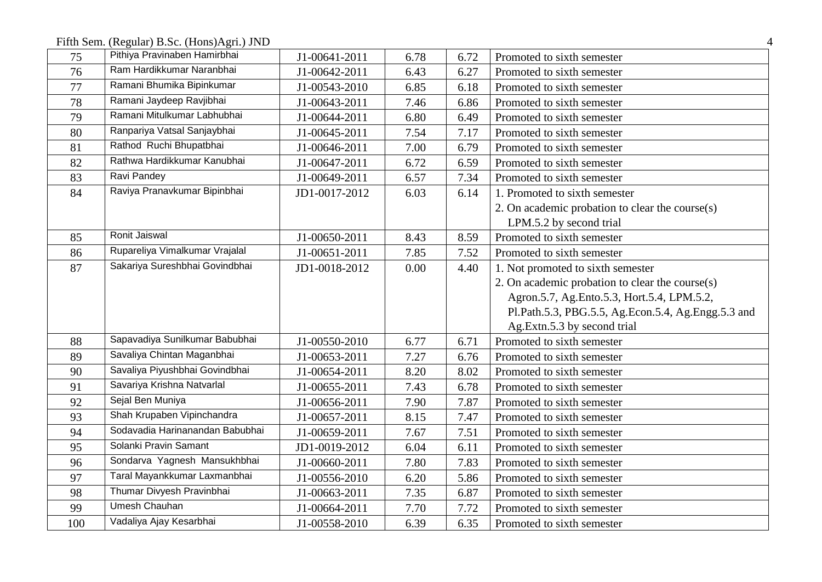Fifth Sem. (Regular) B.Sc. (Hons)Agri.) JND 4

| 75  | Pithiya Pravinaben Hamirbhai    | J1-00641-2011 | 6.78 | 6.72 | Promoted to sixth semester                         |
|-----|---------------------------------|---------------|------|------|----------------------------------------------------|
| 76  | Ram Hardikkumar Naranbhai       | J1-00642-2011 | 6.43 | 6.27 | Promoted to sixth semester                         |
| 77  | Ramani Bhumika Bipinkumar       | J1-00543-2010 | 6.85 | 6.18 | Promoted to sixth semester                         |
| 78  | Ramani Jaydeep Ravjibhai        | J1-00643-2011 | 7.46 | 6.86 | Promoted to sixth semester                         |
| 79  | Ramani Mitulkumar Labhubhai     | J1-00644-2011 | 6.80 | 6.49 | Promoted to sixth semester                         |
| 80  | Ranpariya Vatsal Sanjaybhai     | J1-00645-2011 | 7.54 | 7.17 | Promoted to sixth semester                         |
| 81  | Rathod Ruchi Bhupatbhai         | J1-00646-2011 | 7.00 | 6.79 | Promoted to sixth semester                         |
| 82  | Rathwa Hardikkumar Kanubhai     | J1-00647-2011 | 6.72 | 6.59 | Promoted to sixth semester                         |
| 83  | Ravi Pandey                     | J1-00649-2011 | 6.57 | 7.34 | Promoted to sixth semester                         |
| 84  | Raviya Pranavkumar Bipinbhai    | JD1-0017-2012 | 6.03 | 6.14 | 1. Promoted to sixth semester                      |
|     |                                 |               |      |      | 2. On academic probation to clear the course(s)    |
|     |                                 |               |      |      | LPM.5.2 by second trial                            |
| 85  | Ronit Jaiswal                   | J1-00650-2011 | 8.43 | 8.59 | Promoted to sixth semester                         |
| 86  | Rupareliya Vimalkumar Vrajalal  | J1-00651-2011 | 7.85 | 7.52 | Promoted to sixth semester                         |
| 87  | Sakariya Sureshbhai Govindbhai  | JD1-0018-2012 | 0.00 | 4.40 | 1. Not promoted to sixth semester                  |
|     |                                 |               |      |      | 2. On academic probation to clear the course(s)    |
|     |                                 |               |      |      | Agron.5.7, Ag.Ento.5.3, Hort.5.4, LPM.5.2,         |
|     |                                 |               |      |      | Pl.Path.5.3, PBG.5.5, Ag.Econ.5.4, Ag.Engg.5.3 and |
|     |                                 |               |      |      | Ag.Extn.5.3 by second trial                        |
| 88  | Sapavadiya Sunilkumar Babubhai  | J1-00550-2010 | 6.77 | 6.71 | Promoted to sixth semester                         |
| 89  | Savaliya Chintan Maganbhai      | J1-00653-2011 | 7.27 | 6.76 | Promoted to sixth semester                         |
| 90  | Savaliya Piyushbhai Govindbhai  | J1-00654-2011 | 8.20 | 8.02 | Promoted to sixth semester                         |
| 91  | Savariya Krishna Natvarlal      | J1-00655-2011 | 7.43 | 6.78 | Promoted to sixth semester                         |
| 92  | Sejal Ben Muniya                | J1-00656-2011 | 7.90 | 7.87 | Promoted to sixth semester                         |
| 93  | Shah Krupaben Vipinchandra      | J1-00657-2011 | 8.15 | 7.47 | Promoted to sixth semester                         |
| 94  | Sodavadia Harinanandan Babubhai | J1-00659-2011 | 7.67 | 7.51 | Promoted to sixth semester                         |
| 95  | Solanki Pravin Samant           | JD1-0019-2012 | 6.04 | 6.11 | Promoted to sixth semester                         |
| 96  | Sondarva Yagnesh Mansukhbhai    | J1-00660-2011 | 7.80 | 7.83 | Promoted to sixth semester                         |
| 97  | Taral Mayankkumar Laxmanbhai    | J1-00556-2010 | 6.20 | 5.86 | Promoted to sixth semester                         |
| 98  | Thumar Divyesh Pravinbhai       | J1-00663-2011 | 7.35 | 6.87 | Promoted to sixth semester                         |
| 99  | <b>Umesh Chauhan</b>            | J1-00664-2011 | 7.70 | 7.72 | Promoted to sixth semester                         |
| 100 | Vadaliya Ajay Kesarbhai         | J1-00558-2010 | 6.39 | 6.35 | Promoted to sixth semester                         |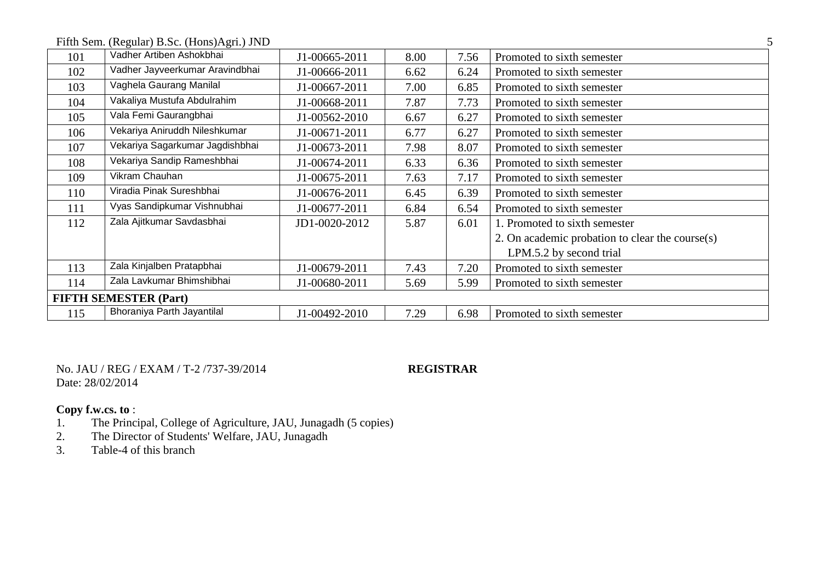| Fifth Sem. (Regular) B.Sc. (Hons)Agri.) JND |  |
|---------------------------------------------|--|
|                                             |  |

| 101 | Vadher Artiben Ashokbhai        | J1-00665-2011 | 8.00 | 7.56 | Promoted to sixth semester                      |
|-----|---------------------------------|---------------|------|------|-------------------------------------------------|
| 102 | Vadher Jayveerkumar Aravindbhai | J1-00666-2011 | 6.62 | 6.24 | Promoted to sixth semester                      |
| 103 | Vaghela Gaurang Manilal         | J1-00667-2011 | 7.00 | 6.85 | Promoted to sixth semester                      |
| 104 | Vakaliya Mustufa Abdulrahim     | J1-00668-2011 | 7.87 | 7.73 | Promoted to sixth semester                      |
| 105 | Vala Femi Gaurangbhai           | J1-00562-2010 | 6.67 | 6.27 | Promoted to sixth semester                      |
| 106 | Vekariya Aniruddh Nileshkumar   | J1-00671-2011 | 6.77 | 6.27 | Promoted to sixth semester                      |
| 107 | Vekariya Sagarkumar Jagdishbhai | J1-00673-2011 | 7.98 | 8.07 | Promoted to sixth semester                      |
| 108 | Vekariya Sandip Rameshbhai      | J1-00674-2011 | 6.33 | 6.36 | Promoted to sixth semester                      |
| 109 | Vikram Chauhan                  | J1-00675-2011 | 7.63 | 7.17 | Promoted to sixth semester                      |
| 110 | Viradia Pinak Sureshbhai        | J1-00676-2011 | 6.45 | 6.39 | Promoted to sixth semester                      |
| 111 | Vyas Sandipkumar Vishnubhai     | J1-00677-2011 | 6.84 | 6.54 | Promoted to sixth semester                      |
| 112 | Zala Ajitkumar Savdasbhai       | JD1-0020-2012 | 5.87 | 6.01 | 1. Promoted to sixth semester                   |
|     |                                 |               |      |      | 2. On academic probation to clear the course(s) |
|     |                                 |               |      |      | LPM.5.2 by second trial                         |
| 113 | Zala Kinjalben Pratapbhai       | J1-00679-2011 | 7.43 | 7.20 | Promoted to sixth semester                      |
| 114 | Zala Lavkumar Bhimshibhai       | J1-00680-2011 | 5.69 | 5.99 | Promoted to sixth semester                      |
|     | <b>FIFTH SEMESTER (Part)</b>    |               |      |      |                                                 |
| 115 | Bhoraniya Parth Jayantilal      | J1-00492-2010 | 7.29 | 6.98 | Promoted to sixth semester                      |

No. JAU / REG / EXAM / T-2 /737-39/2014 **REGISTRAR** Date: 28/02/2014

- 1. The Principal, College of Agriculture, JAU, Junagadh (5 copies)
- 2. The Director of Students' Welfare, JAU, Junagadh
- 3. Table-4 of this branch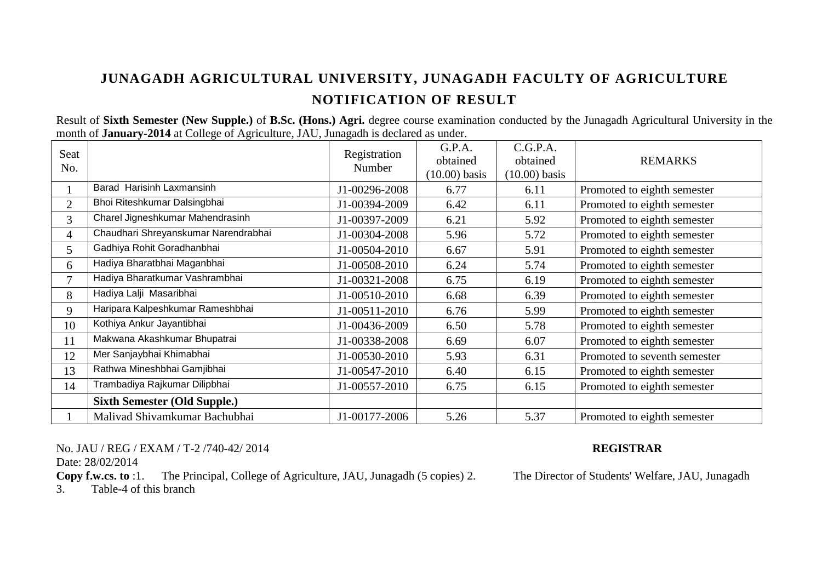Result of **Sixth Semester (New Supple.)** of **B.Sc. (Hons.) Agri.** degree course examination conducted by the Junagadh Agricultural University in the month of **January-2014** at College of Agriculture, JAU, Junagadh is declared as under.

| Seat<br>No.    |                                      | Registration<br>Number | G.P.A.<br>obtained<br>$(10.00)$ basis | C.G.P.A.<br>obtained<br>$(10.00)$ basis | <b>REMARKS</b>               |
|----------------|--------------------------------------|------------------------|---------------------------------------|-----------------------------------------|------------------------------|
|                | Barad Harisinh Laxmansinh            | J1-00296-2008          | 6.77                                  | 6.11                                    | Promoted to eighth semester  |
| $\overline{2}$ | Bhoi Riteshkumar Dalsingbhai         | J1-00394-2009          | 6.42                                  | 6.11                                    | Promoted to eighth semester  |
| $\overline{3}$ | Charel Jigneshkumar Mahendrasinh     | J1-00397-2009          | 6.21                                  | 5.92                                    | Promoted to eighth semester  |
| 4              | Chaudhari Shreyanskumar Narendrabhai | J1-00304-2008          | 5.96                                  | 5.72                                    | Promoted to eighth semester  |
| 5              | Gadhiya Rohit Goradhanbhai           | J1-00504-2010          | 6.67                                  | 5.91                                    | Promoted to eighth semester  |
| 6              | Hadiya Bharatbhai Maganbhai          | J1-00508-2010          | 6.24                                  | 5.74                                    | Promoted to eighth semester  |
| $\tau$         | Hadiya Bharatkumar Vashrambhai       | J1-00321-2008          | 6.75                                  | 6.19                                    | Promoted to eighth semester  |
| 8              | Hadiya Lalji Masaribhai              | J1-00510-2010          | 6.68                                  | 6.39                                    | Promoted to eighth semester  |
| 9              | Haripara Kalpeshkumar Rameshbhai     | J1-00511-2010          | 6.76                                  | 5.99                                    | Promoted to eighth semester  |
| 10             | Kothiya Ankur Jayantibhai            | J1-00436-2009          | 6.50                                  | 5.78                                    | Promoted to eighth semester  |
| 11             | Makwana Akashkumar Bhupatrai         | J1-00338-2008          | 6.69                                  | 6.07                                    | Promoted to eighth semester  |
| 12             | Mer Sanjaybhai Khimabhai             | J1-00530-2010          | 5.93                                  | 6.31                                    | Promoted to seventh semester |
| 13             | Rathwa Mineshbhai Gamjibhai          | J1-00547-2010          | 6.40                                  | 6.15                                    | Promoted to eighth semester  |
| 14             | Trambadiya Rajkumar Dilipbhai        | J1-00557-2010          | 6.75                                  | 6.15                                    | Promoted to eighth semester  |
|                | <b>Sixth Semester (Old Supple.)</b>  |                        |                                       |                                         |                              |
|                | Malivad Shivamkumar Bachubhai        | J1-00177-2006          | 5.26                                  | 5.37                                    | Promoted to eighth semester  |

No. JAU / REG / EXAM / T-2 /740-42/ 2014 **REGISTRAR**

Date: 28/02/2014

**Copy f.w.cs. to** :1. The Principal, College of Agriculture, JAU, Junagadh (5 copies) 2. The Director of Students' Welfare, JAU, Junagadh

3. Table-4 of this branch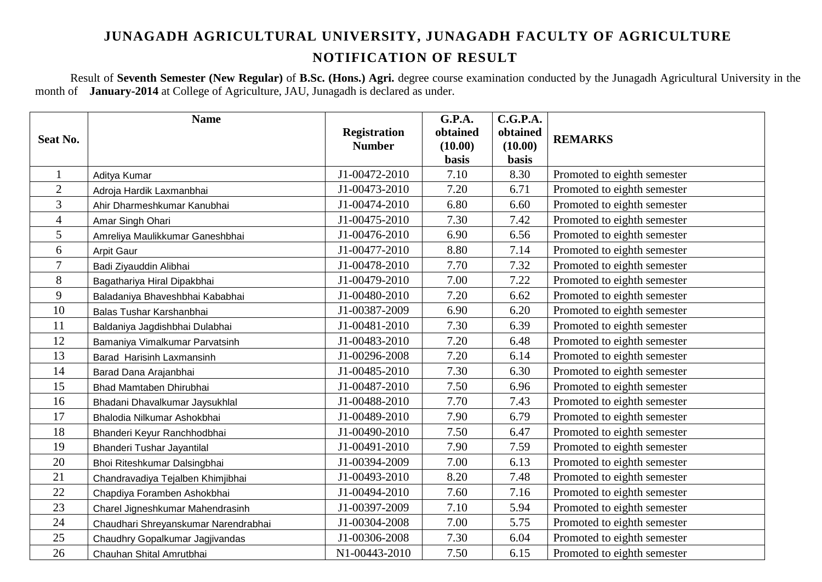Result of **Seventh Semester (New Regular)** of **B.Sc. (Hons.) Agri.** degree course examination conducted by the Junagadh Agricultural University in the month of **January-2014** at College of Agriculture, JAU, Junagadh is declared as under.

|                | <b>Name</b>                          |                     | <b>G.P.A.</b> | C.G.P.A.     |                             |
|----------------|--------------------------------------|---------------------|---------------|--------------|-----------------------------|
| Seat No.       |                                      | <b>Registration</b> | obtained      | obtained     | <b>REMARKS</b>              |
|                |                                      | <b>Number</b>       | (10.00)       | (10.00)      |                             |
|                |                                      |                     | <b>basis</b>  | <b>basis</b> |                             |
| $\mathbf{1}$   | Aditya Kumar                         | J1-00472-2010       | 7.10          | 8.30         | Promoted to eighth semester |
| $\overline{2}$ | Adroja Hardik Laxmanbhai             | J1-00473-2010       | 7.20          | 6.71         | Promoted to eighth semester |
| 3              | Ahir Dharmeshkumar Kanubhai          | J1-00474-2010       | 6.80          | 6.60         | Promoted to eighth semester |
| $\overline{4}$ | Amar Singh Ohari                     | J1-00475-2010       | 7.30          | 7.42         | Promoted to eighth semester |
| 5              | Amreliya Maulikkumar Ganeshbhai      | J1-00476-2010       | 6.90          | 6.56         | Promoted to eighth semester |
| 6              | <b>Arpit Gaur</b>                    | J1-00477-2010       | 8.80          | 7.14         | Promoted to eighth semester |
| $\overline{7}$ | Badi Ziyauddin Alibhai               | J1-00478-2010       | 7.70          | 7.32         | Promoted to eighth semester |
| 8              | Bagathariya Hiral Dipakbhai          | J1-00479-2010       | 7.00          | 7.22         | Promoted to eighth semester |
| 9              | Baladaniya Bhaveshbhai Kababhai      | J1-00480-2010       | 7.20          | 6.62         | Promoted to eighth semester |
| 10             | Balas Tushar Karshanbhai             | J1-00387-2009       | 6.90          | 6.20         | Promoted to eighth semester |
| 11             | Baldaniya Jagdishbhai Dulabhai       | J1-00481-2010       | 7.30          | 6.39         | Promoted to eighth semester |
| 12             | Bamaniya Vimalkumar Parvatsinh       | J1-00483-2010       | 7.20          | 6.48         | Promoted to eighth semester |
| 13             | Barad Harisinh Laxmansinh            | J1-00296-2008       | 7.20          | 6.14         | Promoted to eighth semester |
| 14             | Barad Dana Arajanbhai                | J1-00485-2010       | 7.30          | 6.30         | Promoted to eighth semester |
| 15             | Bhad Mamtaben Dhirubhai              | J1-00487-2010       | 7.50          | 6.96         | Promoted to eighth semester |
| 16             | Bhadani Dhavalkumar Jaysukhlal       | J1-00488-2010       | 7.70          | 7.43         | Promoted to eighth semester |
| 17             | Bhalodia Nilkumar Ashokbhai          | J1-00489-2010       | 7.90          | 6.79         | Promoted to eighth semester |
| 18             | Bhanderi Keyur Ranchhodbhai          | J1-00490-2010       | 7.50          | 6.47         | Promoted to eighth semester |
| 19             | Bhanderi Tushar Jayantilal           | J1-00491-2010       | 7.90          | 7.59         | Promoted to eighth semester |
| 20             | Bhoi Riteshkumar Dalsingbhai         | J1-00394-2009       | 7.00          | 6.13         | Promoted to eighth semester |
| 21             | Chandravadiya Tejalben Khimjibhai    | J1-00493-2010       | 8.20          | 7.48         | Promoted to eighth semester |
| 22             | Chapdiya Foramben Ashokbhai          | J1-00494-2010       | 7.60          | 7.16         | Promoted to eighth semester |
| 23             | Charel Jigneshkumar Mahendrasinh     | J1-00397-2009       | 7.10          | 5.94         | Promoted to eighth semester |
| 24             | Chaudhari Shreyanskumar Narendrabhai | J1-00304-2008       | 7.00          | 5.75         | Promoted to eighth semester |
| 25             | Chaudhry Gopalkumar Jagjivandas      | J1-00306-2008       | 7.30          | 6.04         | Promoted to eighth semester |
| 26             | Chauhan Shital Amrutbhai             | N1-00443-2010       | 7.50          | 6.15         | Promoted to eighth semester |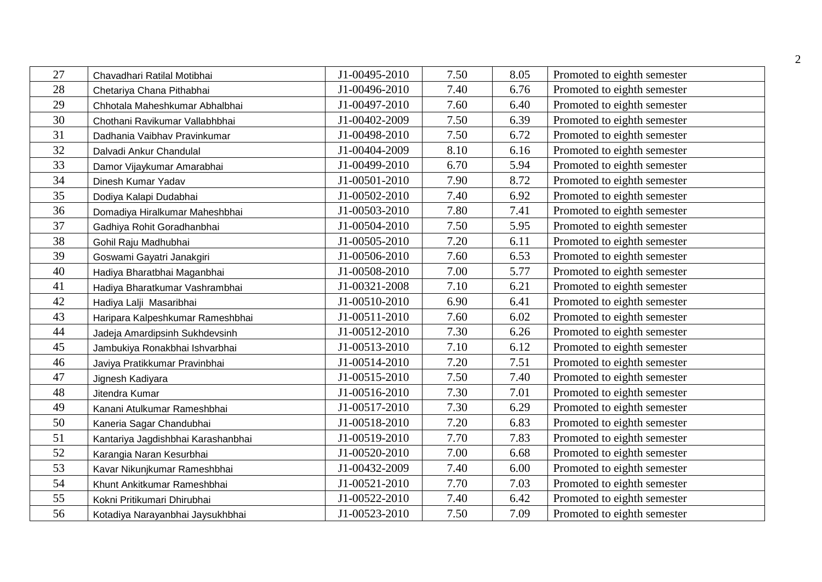| 27 | Chavadhari Ratilal Motibhai        | J1-00495-2010 | 7.50 | 8.05 | Promoted to eighth semester |
|----|------------------------------------|---------------|------|------|-----------------------------|
| 28 | Chetariya Chana Pithabhai          | J1-00496-2010 | 7.40 | 6.76 | Promoted to eighth semester |
| 29 | Chhotala Maheshkumar Abhalbhai     | J1-00497-2010 | 7.60 | 6.40 | Promoted to eighth semester |
| 30 | Chothani Ravikumar Vallabhbhai     | J1-00402-2009 | 7.50 | 6.39 | Promoted to eighth semester |
| 31 | Dadhania Vaibhav Pravinkumar       | J1-00498-2010 | 7.50 | 6.72 | Promoted to eighth semester |
| 32 | Dalvadi Ankur Chandulal            | J1-00404-2009 | 8.10 | 6.16 | Promoted to eighth semester |
| 33 | Damor Vijaykumar Amarabhai         | J1-00499-2010 | 6.70 | 5.94 | Promoted to eighth semester |
| 34 | Dinesh Kumar Yadav                 | J1-00501-2010 | 7.90 | 8.72 | Promoted to eighth semester |
| 35 | Dodiya Kalapi Dudabhai             | J1-00502-2010 | 7.40 | 6.92 | Promoted to eighth semester |
| 36 | Domadiya Hiralkumar Maheshbhai     | J1-00503-2010 | 7.80 | 7.41 | Promoted to eighth semester |
| 37 | Gadhiya Rohit Goradhanbhai         | J1-00504-2010 | 7.50 | 5.95 | Promoted to eighth semester |
| 38 | Gohil Raju Madhubhai               | J1-00505-2010 | 7.20 | 6.11 | Promoted to eighth semester |
| 39 | Goswami Gayatri Janakgiri          | J1-00506-2010 | 7.60 | 6.53 | Promoted to eighth semester |
| 40 | Hadiya Bharatbhai Maganbhai        | J1-00508-2010 | 7.00 | 5.77 | Promoted to eighth semester |
| 41 | Hadiya Bharatkumar Vashrambhai     | J1-00321-2008 | 7.10 | 6.21 | Promoted to eighth semester |
| 42 | Hadiya Lalji Masaribhai            | J1-00510-2010 | 6.90 | 6.41 | Promoted to eighth semester |
| 43 | Haripara Kalpeshkumar Rameshbhai   | J1-00511-2010 | 7.60 | 6.02 | Promoted to eighth semester |
| 44 | Jadeja Amardipsinh Sukhdevsinh     | J1-00512-2010 | 7.30 | 6.26 | Promoted to eighth semester |
| 45 | Jambukiya Ronakbhai Ishvarbhai     | J1-00513-2010 | 7.10 | 6.12 | Promoted to eighth semester |
| 46 | Javiya Pratikkumar Pravinbhai      | J1-00514-2010 | 7.20 | 7.51 | Promoted to eighth semester |
| 47 | Jignesh Kadiyara                   | J1-00515-2010 | 7.50 | 7.40 | Promoted to eighth semester |
| 48 | Jitendra Kumar                     | J1-00516-2010 | 7.30 | 7.01 | Promoted to eighth semester |
| 49 | Kanani Atulkumar Rameshbhai        | J1-00517-2010 | 7.30 | 6.29 | Promoted to eighth semester |
| 50 | Kaneria Sagar Chandubhai           | J1-00518-2010 | 7.20 | 6.83 | Promoted to eighth semester |
| 51 | Kantariya Jagdishbhai Karashanbhai | J1-00519-2010 | 7.70 | 7.83 | Promoted to eighth semester |
| 52 | Karangia Naran Kesurbhai           | J1-00520-2010 | 7.00 | 6.68 | Promoted to eighth semester |
| 53 | Kavar Nikunjkumar Rameshbhai       | J1-00432-2009 | 7.40 | 6.00 | Promoted to eighth semester |
| 54 | Khunt Ankitkumar Rameshbhai        | J1-00521-2010 | 7.70 | 7.03 | Promoted to eighth semester |
| 55 | Kokni Pritikumari Dhirubhai        | J1-00522-2010 | 7.40 | 6.42 | Promoted to eighth semester |
| 56 | Kotadiya Narayanbhai Jaysukhbhai   | J1-00523-2010 | 7.50 | 7.09 | Promoted to eighth semester |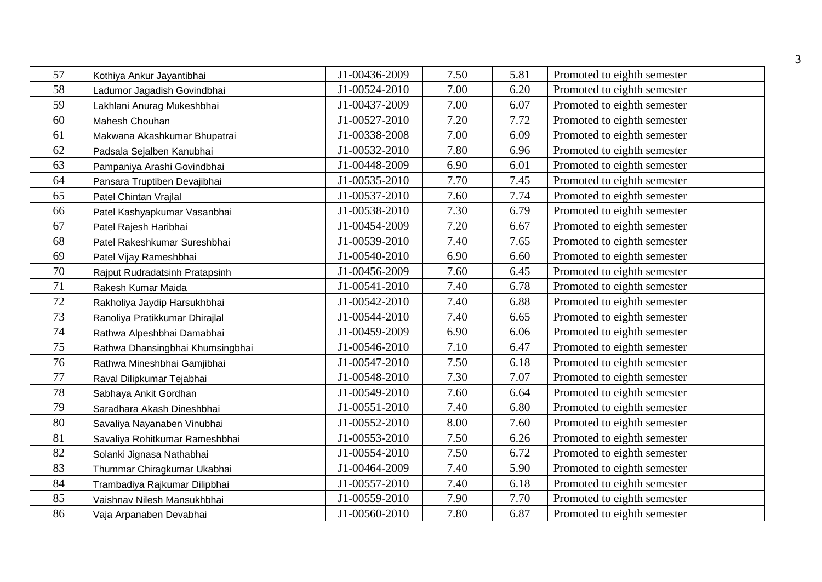| 57 | Kothiya Ankur Jayantibhai        | J1-00436-2009 | 7.50 | 5.81 | Promoted to eighth semester |
|----|----------------------------------|---------------|------|------|-----------------------------|
| 58 | Ladumor Jagadish Govindbhai      | J1-00524-2010 | 7.00 | 6.20 | Promoted to eighth semester |
| 59 | Lakhlani Anurag Mukeshbhai       | J1-00437-2009 | 7.00 | 6.07 | Promoted to eighth semester |
| 60 | Mahesh Chouhan                   | J1-00527-2010 | 7.20 | 7.72 | Promoted to eighth semester |
| 61 | Makwana Akashkumar Bhupatrai     | J1-00338-2008 | 7.00 | 6.09 | Promoted to eighth semester |
| 62 | Padsala Sejalben Kanubhai        | J1-00532-2010 | 7.80 | 6.96 | Promoted to eighth semester |
| 63 | Pampaniya Arashi Govindbhai      | J1-00448-2009 | 6.90 | 6.01 | Promoted to eighth semester |
| 64 | Pansara Truptiben Devajibhai     | J1-00535-2010 | 7.70 | 7.45 | Promoted to eighth semester |
| 65 | Patel Chintan Vrajlal            | J1-00537-2010 | 7.60 | 7.74 | Promoted to eighth semester |
| 66 | Patel Kashyapkumar Vasanbhai     | J1-00538-2010 | 7.30 | 6.79 | Promoted to eighth semester |
| 67 | Patel Rajesh Haribhai            | J1-00454-2009 | 7.20 | 6.67 | Promoted to eighth semester |
| 68 | Patel Rakeshkumar Sureshbhai     | J1-00539-2010 | 7.40 | 7.65 | Promoted to eighth semester |
| 69 | Patel Vijay Rameshbhai           | J1-00540-2010 | 6.90 | 6.60 | Promoted to eighth semester |
| 70 | Rajput Rudradatsinh Pratapsinh   | J1-00456-2009 | 7.60 | 6.45 | Promoted to eighth semester |
| 71 | Rakesh Kumar Maida               | J1-00541-2010 | 7.40 | 6.78 | Promoted to eighth semester |
| 72 | Rakholiya Jaydip Harsukhbhai     | J1-00542-2010 | 7.40 | 6.88 | Promoted to eighth semester |
| 73 | Ranoliya Pratikkumar Dhirajlal   | J1-00544-2010 | 7.40 | 6.65 | Promoted to eighth semester |
| 74 | Rathwa Alpeshbhai Damabhai       | J1-00459-2009 | 6.90 | 6.06 | Promoted to eighth semester |
| 75 | Rathwa Dhansingbhai Khumsingbhai | J1-00546-2010 | 7.10 | 6.47 | Promoted to eighth semester |
| 76 | Rathwa Mineshbhai Gamjibhai      | J1-00547-2010 | 7.50 | 6.18 | Promoted to eighth semester |
| 77 | Raval Dilipkumar Tejabhai        | J1-00548-2010 | 7.30 | 7.07 | Promoted to eighth semester |
| 78 | Sabhaya Ankit Gordhan            | J1-00549-2010 | 7.60 | 6.64 | Promoted to eighth semester |
| 79 | Saradhara Akash Dineshbhai       | J1-00551-2010 | 7.40 | 6.80 | Promoted to eighth semester |
| 80 | Savaliya Nayanaben Vinubhai      | J1-00552-2010 | 8.00 | 7.60 | Promoted to eighth semester |
| 81 | Savaliya Rohitkumar Rameshbhai   | J1-00553-2010 | 7.50 | 6.26 | Promoted to eighth semester |
| 82 | Solanki Jignasa Nathabhai        | J1-00554-2010 | 7.50 | 6.72 | Promoted to eighth semester |
| 83 | Thummar Chiragkumar Ukabhai      | J1-00464-2009 | 7.40 | 5.90 | Promoted to eighth semester |
| 84 | Trambadiya Rajkumar Dilipbhai    | J1-00557-2010 | 7.40 | 6.18 | Promoted to eighth semester |
| 85 | Vaishnav Nilesh Mansukhbhai      | J1-00559-2010 | 7.90 | 7.70 | Promoted to eighth semester |
| 86 | Vaja Arpanaben Devabhai          | J1-00560-2010 | 7.80 | 6.87 | Promoted to eighth semester |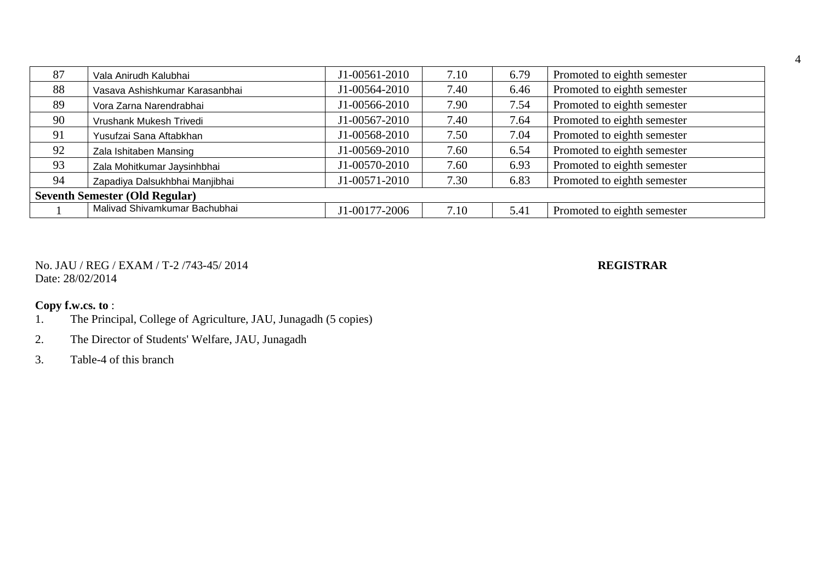| 87 | Vala Anirudh Kalubhai                 | J1-00561-2010 | 7.10 | 6.79 | Promoted to eighth semester |  |  |  |  |
|----|---------------------------------------|---------------|------|------|-----------------------------|--|--|--|--|
| 88 | Vasava Ashishkumar Karasanbhai        | J1-00564-2010 | 7.40 | 6.46 | Promoted to eighth semester |  |  |  |  |
| 89 | Vora Zarna Narendrabhai               | J1-00566-2010 | 7.90 | 7.54 | Promoted to eighth semester |  |  |  |  |
| 90 | Vrushank Mukesh Trivedi               | J1-00567-2010 | 7.40 | 7.64 | Promoted to eighth semester |  |  |  |  |
| 91 | Yusufzai Sana Aftabkhan               | J1-00568-2010 | 7.50 | 7.04 | Promoted to eighth semester |  |  |  |  |
| 92 | Zala Ishitaben Mansing                | J1-00569-2010 | 7.60 | 6.54 | Promoted to eighth semester |  |  |  |  |
| 93 | Zala Mohitkumar Jaysinhbhai           | J1-00570-2010 | 7.60 | 6.93 | Promoted to eighth semester |  |  |  |  |
| 94 | Zapadiya Dalsukhbhai Manjibhai        | J1-00571-2010 | 7.30 | 6.83 | Promoted to eighth semester |  |  |  |  |
|    | <b>Seventh Semester (Old Regular)</b> |               |      |      |                             |  |  |  |  |
|    | Malivad Shivamkumar Bachubhai         | J1-00177-2006 | 7.10 | 5.41 | Promoted to eighth semester |  |  |  |  |

No. JAU / REG / EXAM / T-2 /743-45/ 2014 **REGISTRAR** Date: 28/02/2014

- 1. The Principal, College of Agriculture, JAU, Junagadh (5 copies)
- 2. The Director of Students' Welfare, JAU, Junagadh
- 3. Table-4 of this branch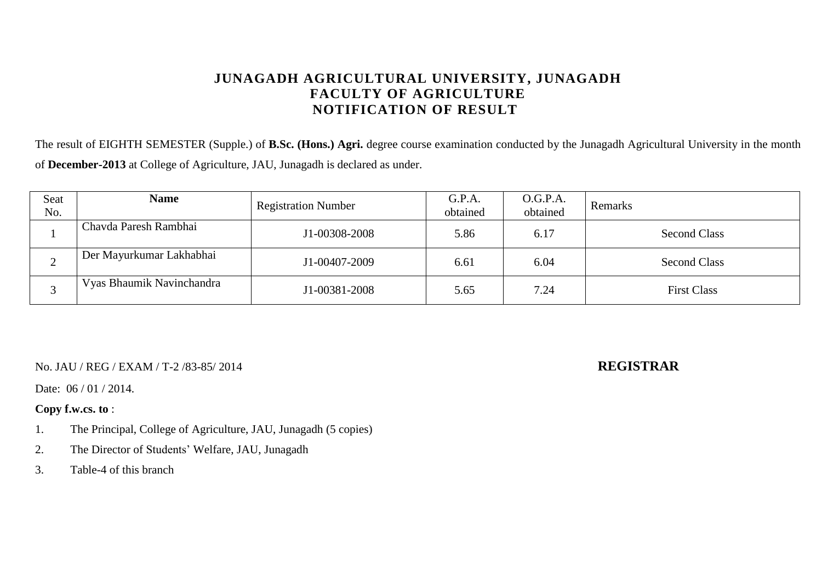The result of EIGHTH SEMESTER (Supple.) of **B.Sc. (Hons.) Agri.** degree course examination conducted by the Junagadh Agricultural University in the month of **December-2013** at College of Agriculture, JAU, Junagadh is declared as under.

| Seat<br>No. | <b>Name</b>               | <b>Registration Number</b> | G.P.A.<br>obtained | O.G.P.A.<br>obtained | Remarks             |
|-------------|---------------------------|----------------------------|--------------------|----------------------|---------------------|
|             | Chavda Paresh Rambhai     | J1-00308-2008              | 5.86               | 6.17                 | <b>Second Class</b> |
| ∠           | Der Mayurkumar Lakhabhai  | J1-00407-2009              | 6.61               | 6.04                 | <b>Second Class</b> |
|             | Vyas Bhaumik Navinchandra | J1-00381-2008              | 5.65               | 7.24                 | <b>First Class</b>  |

No. JAU / REG / EXAM / T-2 /83-85/ 2014 **REGISTRAR**

Date: 06 / 01 / 2014.

- 1. The Principal, College of Agriculture, JAU, Junagadh (5 copies)
- 2. The Director of Students' Welfare, JAU, Junagadh
- 3. Table-4 of this branch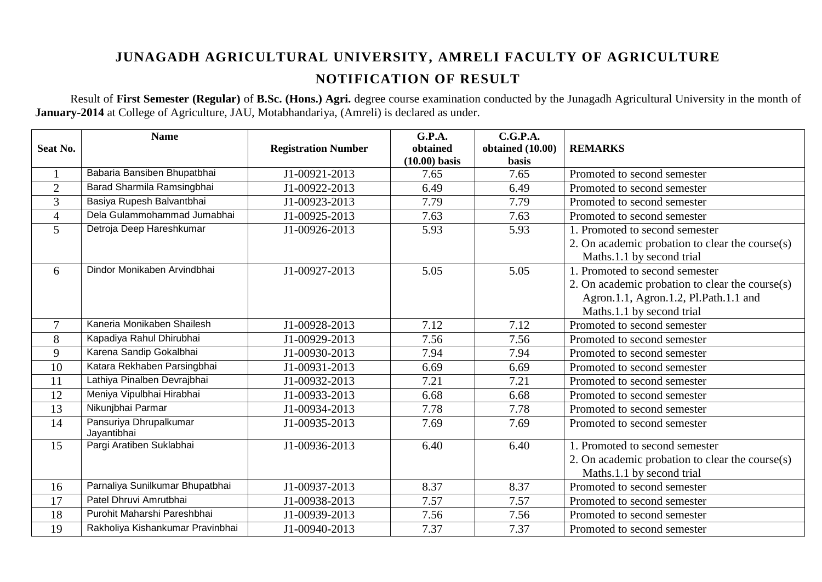Result of **First Semester (Regular)** of **B.Sc. (Hons.) Agri.** degree course examination conducted by the Junagadh Agricultural University in the month of **January-2014** at College of Agriculture, JAU, Motabhandariya, (Amreli) is declared as under.

|                 | <b>Name</b>                           |                            | G.P.A.          | C.G.P.A.         |                                                 |
|-----------------|---------------------------------------|----------------------------|-----------------|------------------|-------------------------------------------------|
| <b>Seat No.</b> |                                       | <b>Registration Number</b> | obtained        | obtained (10.00) | <b>REMARKS</b>                                  |
|                 |                                       |                            | $(10.00)$ basis | <b>basis</b>     |                                                 |
| $\mathbf{1}$    | Babaria Bansiben Bhupatbhai           | J1-00921-2013              | 7.65            | 7.65             | Promoted to second semester                     |
| $\overline{2}$  | Barad Sharmila Ramsingbhai            | J1-00922-2013              | 6.49            | 6.49             | Promoted to second semester                     |
| 3               | Basiya Rupesh Balvantbhai             | J1-00923-2013              | 7.79            | 7.79             | Promoted to second semester                     |
| $\overline{4}$  | Dela Gulammohammad Jumabhai           | J1-00925-2013              | 7.63            | 7.63             | Promoted to second semester                     |
| 5 <sup>5</sup>  | Detroja Deep Hareshkumar              | J1-00926-2013              | 5.93            | 5.93             | 1. Promoted to second semester                  |
|                 |                                       |                            |                 |                  | 2. On academic probation to clear the course(s) |
|                 |                                       |                            |                 |                  | Maths.1.1 by second trial                       |
| 6               | Dindor Monikaben Arvindbhai           | J1-00927-2013              | 5.05            | 5.05             | 1. Promoted to second semester                  |
|                 |                                       |                            |                 |                  | 2. On academic probation to clear the course(s) |
|                 |                                       |                            |                 |                  | Agron.1.1, Agron.1.2, Pl.Path.1.1 and           |
|                 |                                       |                            |                 |                  | Maths.1.1 by second trial                       |
| $\overline{7}$  | Kaneria Monikaben Shailesh            | J1-00928-2013              | 7.12            | 7.12             | Promoted to second semester                     |
| 8               | Kapadiya Rahul Dhirubhai              | J1-00929-2013              | 7.56            | 7.56             | Promoted to second semester                     |
| 9               | Karena Sandip Gokalbhai               | J1-00930-2013              | 7.94            | 7.94             | Promoted to second semester                     |
| 10              | Katara Rekhaben Parsingbhai           | J1-00931-2013              | 6.69            | 6.69             | Promoted to second semester                     |
| 11              | Lathiya Pinalben Devrajbhai           | J1-00932-2013              | 7.21            | 7.21             | Promoted to second semester                     |
| 12              | Meniya Vipulbhai Hirabhai             | J1-00933-2013              | 6.68            | 6.68             | Promoted to second semester                     |
| 13              | Nikunjbhai Parmar                     | J1-00934-2013              | 7.78            | 7.78             | Promoted to second semester                     |
| 14              | Pansuriya Dhrupalkumar<br>Jayantibhai | J1-00935-2013              | 7.69            | 7.69             | Promoted to second semester                     |
| 15              | Pargi Aratiben Suklabhai              | J1-00936-2013              | 6.40            | 6.40             | 1. Promoted to second semester                  |
|                 |                                       |                            |                 |                  | 2. On academic probation to clear the course(s) |
|                 |                                       |                            |                 |                  | Maths.1.1 by second trial                       |
| 16              | Parnaliya Sunilkumar Bhupatbhai       | J1-00937-2013              | 8.37            | 8.37             | Promoted to second semester                     |
| 17              | Patel Dhruvi Amrutbhai                | J1-00938-2013              | 7.57            | 7.57             | Promoted to second semester                     |
| 18              | Purohit Maharshi Pareshbhai           | J1-00939-2013              | 7.56            | 7.56             | Promoted to second semester                     |
| 19              | Rakholiya Kishankumar Pravinbhai      | J1-00940-2013              | 7.37            | 7.37             | Promoted to second semester                     |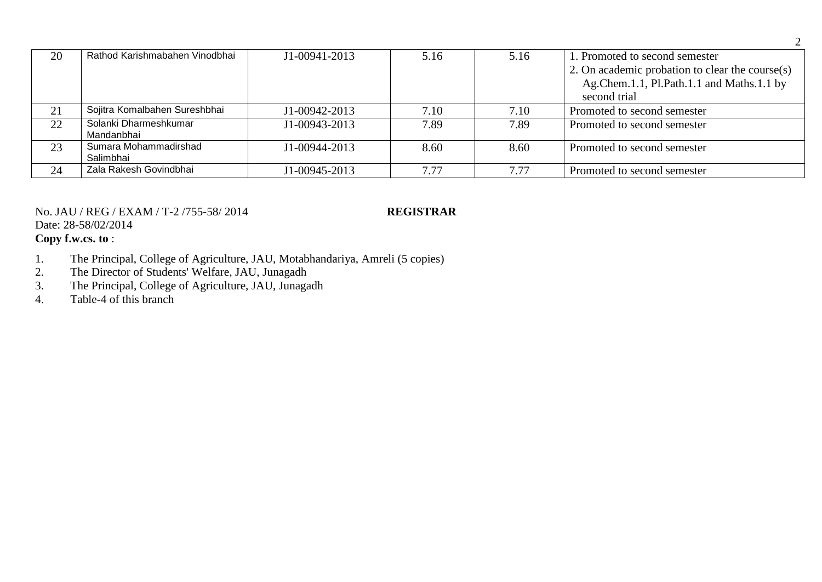| 20 | Rathod Karishmabahen Vinodbhai | J1-00941-2013 | 5.16 | 5.16 | 1. Promoted to second semester                  |
|----|--------------------------------|---------------|------|------|-------------------------------------------------|
|    |                                |               |      |      | 2. On academic probation to clear the course(s) |
|    |                                |               |      |      | Ag.Chem.1.1, Pl.Path.1.1 and Maths.1.1 by       |
|    |                                |               |      |      | second trial                                    |
| 21 | Sojitra Komalbahen Sureshbhai  | J1-00942-2013 | 7.10 | 7.10 | Promoted to second semester                     |
| 22 | Solanki Dharmeshkumar          | J1-00943-2013 | 7.89 | 7.89 | Promoted to second semester                     |
|    | Mandanbhai                     |               |      |      |                                                 |
| 23 | Sumara Mohammadirshad          | J1-00944-2013 | 8.60 | 8.60 | Promoted to second semester                     |
|    | Salimbhai                      |               |      |      |                                                 |
| 24 | Zala Rakesh Govindbhai         | J1-00945-2013 | 7.77 | 7.77 | Promoted to second semester                     |

## No. JAU / REG / EXAM / T-2 /755-58/ 2014 **REGISTRAR** Date: 28-58/02/2014 **Copy f.w.cs. to** :

- 1. The Principal, College of Agriculture, JAU, Motabhandariya, Amreli (5 copies)
- 2. The Director of Students' Welfare, JAU, Junagadh
- 3. The Principal, College of Agriculture, JAU, Junagadh
- 4. Table-4 of this branch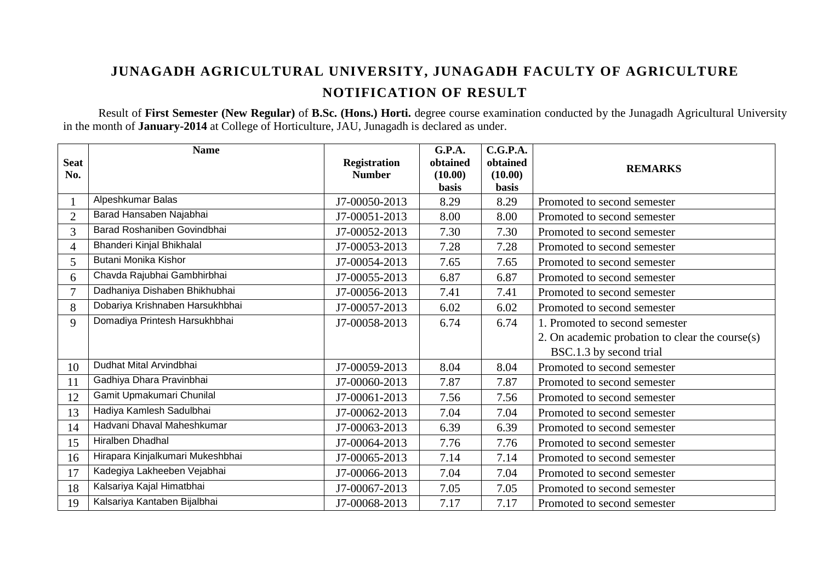Result of **First Semester (New Regular)** of **B.Sc. (Hons.) Horti.** degree course examination conducted by the Junagadh Agricultural University in the month of **January-2014** at College of Horticulture, JAU, Junagadh is declared as under.

|                | <b>Name</b>                      |                     | G.P.A.       | C.G.P.A.     |                                                 |
|----------------|----------------------------------|---------------------|--------------|--------------|-------------------------------------------------|
| <b>Seat</b>    |                                  | <b>Registration</b> | obtained     | obtained     | <b>REMARKS</b>                                  |
| No.            |                                  | <b>Number</b>       | (10.00)      | (10.00)      |                                                 |
|                |                                  |                     | <b>basis</b> | <b>basis</b> |                                                 |
|                | Alpeshkumar Balas                | J7-00050-2013       | 8.29         | 8.29         | Promoted to second semester                     |
| $\overline{2}$ | Barad Hansaben Najabhai          | J7-00051-2013       | 8.00         | 8.00         | Promoted to second semester                     |
| 3              | Barad Roshaniben Govindbhai      | J7-00052-2013       | 7.30         | 7.30         | Promoted to second semester                     |
| 4              | Bhanderi Kinjal Bhikhalal        | J7-00053-2013       | 7.28         | 7.28         | Promoted to second semester                     |
| 5              | Butani Monika Kishor             | J7-00054-2013       | 7.65         | 7.65         | Promoted to second semester                     |
| 6              | Chavda Rajubhai Gambhirbhai      | J7-00055-2013       | 6.87         | 6.87         | Promoted to second semester                     |
| $\tau$         | Dadhaniya Dishaben Bhikhubhai    | J7-00056-2013       | 7.41         | 7.41         | Promoted to second semester                     |
| 8              | Dobariya Krishnaben Harsukhbhai  | J7-00057-2013       | 6.02         | 6.02         | Promoted to second semester                     |
| 9              | Domadiya Printesh Harsukhbhai    | J7-00058-2013       | 6.74         | 6.74         | 1. Promoted to second semester                  |
|                |                                  |                     |              |              | 2. On academic probation to clear the course(s) |
|                |                                  |                     |              |              | BSC.1.3 by second trial                         |
| 10             | Dudhat Mital Arvindbhai          | J7-00059-2013       | 8.04         | 8.04         | Promoted to second semester                     |
| 11             | Gadhiya Dhara Pravinbhai         | J7-00060-2013       | 7.87         | 7.87         | Promoted to second semester                     |
| 12             | Gamit Upmakumari Chunilal        | J7-00061-2013       | 7.56         | 7.56         | Promoted to second semester                     |
| 13             | Hadiya Kamlesh Sadulbhai         | J7-00062-2013       | 7.04         | 7.04         | Promoted to second semester                     |
| 14             | Hadvani Dhaval Maheshkumar       | J7-00063-2013       | 6.39         | 6.39         | Promoted to second semester                     |
| 15             | Hiralben Dhadhal                 | J7-00064-2013       | 7.76         | 7.76         | Promoted to second semester                     |
| 16             | Hirapara Kinjalkumari Mukeshbhai | J7-00065-2013       | 7.14         | 7.14         | Promoted to second semester                     |
| 17             | Kadegiya Lakheeben Vejabhai      | J7-00066-2013       | 7.04         | 7.04         | Promoted to second semester                     |
| 18             | Kalsariya Kajal Himatbhai        | J7-00067-2013       | 7.05         | 7.05         | Promoted to second semester                     |
| 19             | Kalsariya Kantaben Bijalbhai     | J7-00068-2013       | 7.17         | 7.17         | Promoted to second semester                     |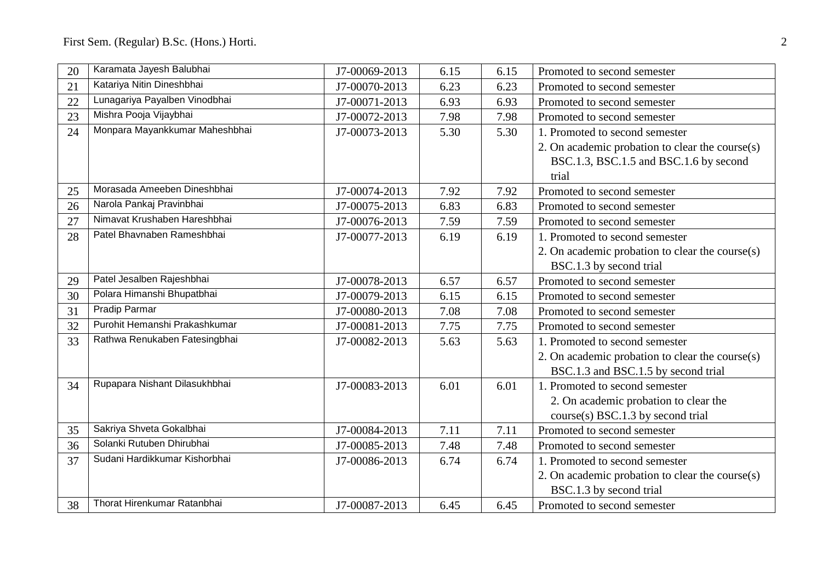| 20 | Karamata Jayesh Balubhai       | J7-00069-2013 | 6.15 | 6.15 | Promoted to second semester                     |
|----|--------------------------------|---------------|------|------|-------------------------------------------------|
| 21 | Katariya Nitin Dineshbhai      | J7-00070-2013 | 6.23 | 6.23 | Promoted to second semester                     |
| 22 | Lunagariya Payalben Vinodbhai  | J7-00071-2013 | 6.93 | 6.93 | Promoted to second semester                     |
| 23 | Mishra Pooja Vijaybhai         | J7-00072-2013 | 7.98 | 7.98 | Promoted to second semester                     |
| 24 | Monpara Mayankkumar Maheshbhai | J7-00073-2013 | 5.30 | 5.30 | 1. Promoted to second semester                  |
|    |                                |               |      |      | 2. On academic probation to clear the course(s) |
|    |                                |               |      |      | BSC.1.3, BSC.1.5 and BSC.1.6 by second          |
|    |                                |               |      |      | trial                                           |
| 25 | Morasada Ameeben Dineshbhai    | J7-00074-2013 | 7.92 | 7.92 | Promoted to second semester                     |
| 26 | Narola Pankaj Pravinbhai       | J7-00075-2013 | 6.83 | 6.83 | Promoted to second semester                     |
| 27 | Nimavat Krushaben Hareshbhai   | J7-00076-2013 | 7.59 | 7.59 | Promoted to second semester                     |
| 28 | Patel Bhavnaben Rameshbhai     | J7-00077-2013 | 6.19 | 6.19 | 1. Promoted to second semester                  |
|    |                                |               |      |      | 2. On academic probation to clear the course(s) |
|    |                                |               |      |      | BSC.1.3 by second trial                         |
| 29 | Patel Jesalben Rajeshbhai      | J7-00078-2013 | 6.57 | 6.57 | Promoted to second semester                     |
| 30 | Polara Himanshi Bhupatbhai     | J7-00079-2013 | 6.15 | 6.15 | Promoted to second semester                     |
| 31 | Pradip Parmar                  | J7-00080-2013 | 7.08 | 7.08 | Promoted to second semester                     |
| 32 | Purohit Hemanshi Prakashkumar  | J7-00081-2013 | 7.75 | 7.75 | Promoted to second semester                     |
| 33 | Rathwa Renukaben Fatesingbhai  | J7-00082-2013 | 5.63 | 5.63 | 1. Promoted to second semester                  |
|    |                                |               |      |      | 2. On academic probation to clear the course(s) |
|    |                                |               |      |      | BSC.1.3 and BSC.1.5 by second trial             |
| 34 | Rupapara Nishant Dilasukhbhai  | J7-00083-2013 | 6.01 | 6.01 | 1. Promoted to second semester                  |
|    |                                |               |      |      | 2. On academic probation to clear the           |
|    |                                |               |      |      | course(s) BSC.1.3 by second trial               |
| 35 | Sakriya Shveta Gokalbhai       | J7-00084-2013 | 7.11 | 7.11 | Promoted to second semester                     |
| 36 | Solanki Rutuben Dhirubhai      | J7-00085-2013 | 7.48 | 7.48 | Promoted to second semester                     |
| 37 | Sudani Hardikkumar Kishorbhai  | J7-00086-2013 | 6.74 | 6.74 | 1. Promoted to second semester                  |
|    |                                |               |      |      | 2. On academic probation to clear the course(s) |
|    |                                |               |      |      | BSC.1.3 by second trial                         |
| 38 | Thorat Hirenkumar Ratanbhai    | J7-00087-2013 | 6.45 | 6.45 | Promoted to second semester                     |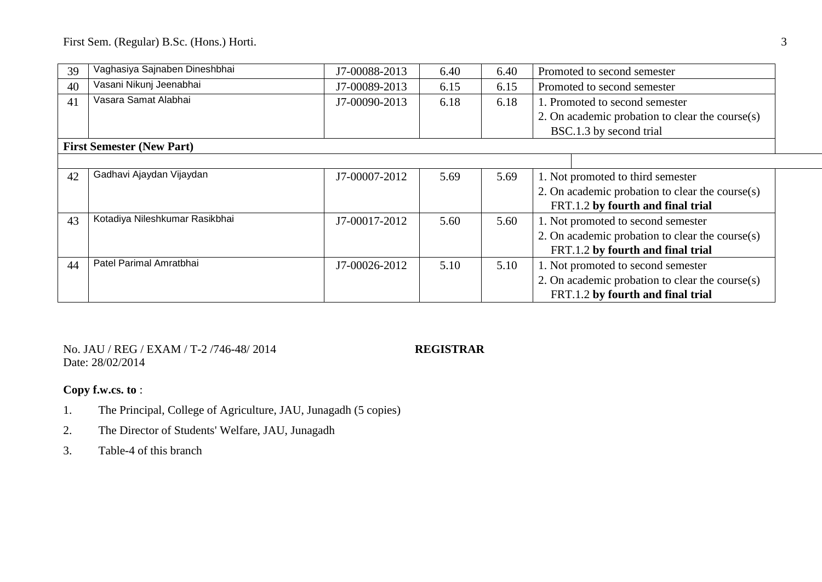First Sem. (Regular) B.Sc. (Hons.) Horti. 3

| 39 | Vaghasiya Sajnaben Dineshbhai    | J7-00088-2013 | 6.40 | 6.40 | Promoted to second semester                     |
|----|----------------------------------|---------------|------|------|-------------------------------------------------|
| 40 | Vasani Nikunj Jeenabhai          | J7-00089-2013 | 6.15 | 6.15 | Promoted to second semester                     |
| 41 | Vasara Samat Alabhai             | J7-00090-2013 | 6.18 | 6.18 | 1. Promoted to second semester                  |
|    |                                  |               |      |      | 2. On academic probation to clear the course(s) |
|    |                                  |               |      |      | BSC.1.3 by second trial                         |
|    | <b>First Semester (New Part)</b> |               |      |      |                                                 |
|    |                                  |               |      |      |                                                 |
| 42 | Gadhavi Ajaydan Vijaydan         | J7-00007-2012 | 5.69 | 5.69 | 1. Not promoted to third semester               |
|    |                                  |               |      |      | 2. On academic probation to clear the course(s) |
|    |                                  |               |      |      | FRT.1.2 by fourth and final trial               |
| 43 | Kotadiya Nileshkumar Rasikbhai   | J7-00017-2012 | 5.60 | 5.60 | 1. Not promoted to second semester              |
|    |                                  |               |      |      | 2. On academic probation to clear the course(s) |
|    |                                  |               |      |      | FRT.1.2 by fourth and final trial               |
| 44 | Patel Parimal Amratbhai          | J7-00026-2012 | 5.10 | 5.10 | 1. Not promoted to second semester              |
|    |                                  |               |      |      | 2. On academic probation to clear the course(s) |
|    |                                  |               |      |      | FRT.1.2 by fourth and final trial               |

No. JAU / REG / EXAM / T-2 /746-48/ 2014 **REGISTRAR** Date: 28/02/2014

- 1. The Principal, College of Agriculture, JAU, Junagadh (5 copies)
- 2. The Director of Students' Welfare, JAU, Junagadh
- 3. Table-4 of this branch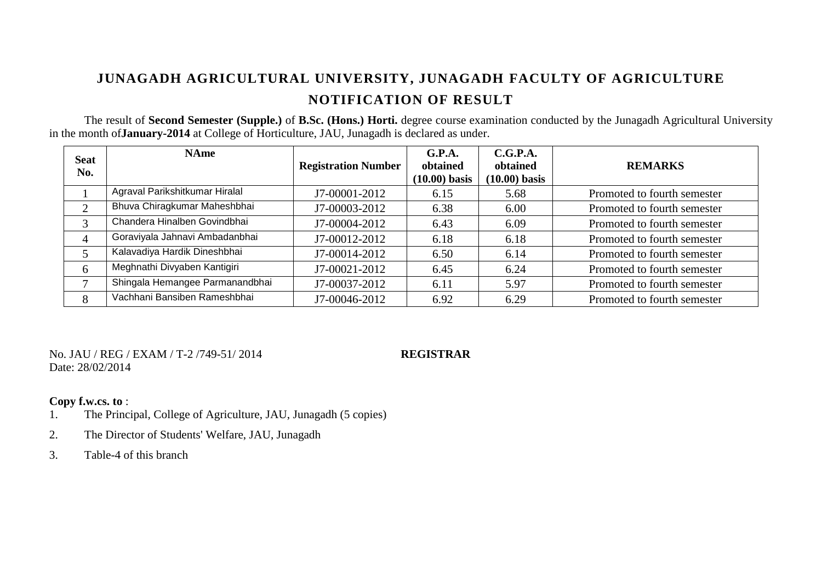The result of **Second Semester (Supple.)** of **B.Sc. (Hons.) Horti.** degree course examination conducted by the Junagadh Agricultural University in the month of**January-2014** at College of Horticulture, JAU, Junagadh is declared as under.

| <b>Seat</b><br>No. | <b>NAme</b>                     | <b>Registration Number</b> | G.P.A.<br>obtained<br>$(10.00)$ basis | C.G.P.A.<br>obtained<br>$(10.00)$ basis | <b>REMARKS</b>              |
|--------------------|---------------------------------|----------------------------|---------------------------------------|-----------------------------------------|-----------------------------|
|                    | Agraval Parikshitkumar Hiralal  | J7-00001-2012              | 6.15                                  | 5.68                                    | Promoted to fourth semester |
| $\gamma$           | Bhuva Chiragkumar Maheshbhai    | J7-00003-2012              | 6.38                                  | 6.00                                    | Promoted to fourth semester |
| 3                  | Chandera Hinalben Govindbhai    | J7-00004-2012              | 6.43                                  | 6.09                                    | Promoted to fourth semester |
| 4                  | Goraviyala Jahnavi Ambadanbhai  | J7-00012-2012              | 6.18                                  | 6.18                                    | Promoted to fourth semester |
|                    | Kalavadiya Hardik Dineshbhai    | J7-00014-2012              | 6.50                                  | 6.14                                    | Promoted to fourth semester |
| 6                  | Meghnathi Divyaben Kantigiri    | J7-00021-2012              | 6.45                                  | 6.24                                    | Promoted to fourth semester |
| $\mathbf{r}$       | Shingala Hemangee Parmanandbhai | J7-00037-2012              | 6.11                                  | 5.97                                    | Promoted to fourth semester |
| 8                  | Vachhani Bansiben Rameshbhai    | J7-00046-2012              | 6.92                                  | 6.29                                    | Promoted to fourth semester |

No. JAU / REG / EXAM / T-2 /749-51/ 2014 **REGISTRAR** Date: 28/02/2014

- 1. The Principal, College of Agriculture, JAU, Junagadh (5 copies)
- 2. The Director of Students' Welfare, JAU, Junagadh
- 3. Table-4 of this branch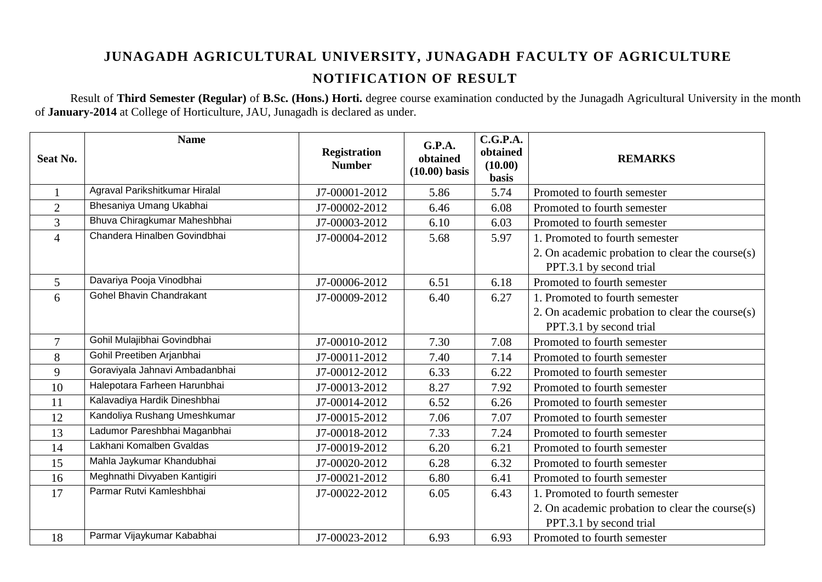Result of **Third Semester (Regular)** of **B.Sc. (Hons.) Horti.** degree course examination conducted by the Junagadh Agricultural University in the month of **January-2014** at College of Horticulture, JAU, Junagadh is declared as under.

| <b>Seat No.</b> | <b>Name</b>                     | <b>Registration</b><br><b>Number</b> | <b>G.P.A.</b><br>obtained<br>$(10.00)$ basis | C.G.P.A.<br>obtained<br>(10.00)<br><b>basis</b> | <b>REMARKS</b>                                                             |
|-----------------|---------------------------------|--------------------------------------|----------------------------------------------|-------------------------------------------------|----------------------------------------------------------------------------|
|                 | Agraval Parikshitkumar Hiralal  | J7-00001-2012                        | 5.86                                         | 5.74                                            | Promoted to fourth semester                                                |
| $\overline{2}$  | Bhesaniya Umang Ukabhai         | J7-00002-2012                        | 6.46                                         | 6.08                                            | Promoted to fourth semester                                                |
| 3               | Bhuva Chiragkumar Maheshbhai    | J7-00003-2012                        | 6.10                                         | 6.03                                            | Promoted to fourth semester                                                |
| $\overline{4}$  | Chandera Hinalben Govindbhai    | J7-00004-2012                        | 5.68                                         | 5.97                                            | 1. Promoted to fourth semester                                             |
|                 |                                 |                                      |                                              |                                                 | 2. On academic probation to clear the course(s)<br>PPT.3.1 by second trial |
| 5               | Davariya Pooja Vinodbhai        | J7-00006-2012                        | 6.51                                         | 6.18                                            | Promoted to fourth semester                                                |
| 6               | <b>Gohel Bhavin Chandrakant</b> | J7-00009-2012                        | 6.40                                         | 6.27                                            | 1. Promoted to fourth semester                                             |
|                 |                                 |                                      |                                              |                                                 | 2. On academic probation to clear the course(s)<br>PPT.3.1 by second trial |
| $\overline{7}$  | Gohil Mulajibhai Govindbhai     | J7-00010-2012                        | 7.30                                         | 7.08                                            | Promoted to fourth semester                                                |
| 8               | Gohil Preetiben Arjanbhai       | J7-00011-2012                        | 7.40                                         | 7.14                                            | Promoted to fourth semester                                                |
| 9               | Goraviyala Jahnavi Ambadanbhai  | J7-00012-2012                        | 6.33                                         | 6.22                                            | Promoted to fourth semester                                                |
| 10              | Halepotara Farheen Harunbhai    | J7-00013-2012                        | 8.27                                         | 7.92                                            | Promoted to fourth semester                                                |
| 11              | Kalavadiya Hardik Dineshbhai    | J7-00014-2012                        | 6.52                                         | 6.26                                            | Promoted to fourth semester                                                |
| 12              | Kandoliya Rushang Umeshkumar    | J7-00015-2012                        | 7.06                                         | 7.07                                            | Promoted to fourth semester                                                |
| 13              | Ladumor Pareshbhai Maganbhai    | J7-00018-2012                        | 7.33                                         | 7.24                                            | Promoted to fourth semester                                                |
| 14              | Lakhani Komalben Gvaldas        | J7-00019-2012                        | 6.20                                         | 6.21                                            | Promoted to fourth semester                                                |
| 15              | Mahla Jaykumar Khandubhai       | J7-00020-2012                        | 6.28                                         | 6.32                                            | Promoted to fourth semester                                                |
| 16              | Meghnathi Divyaben Kantigiri    | J7-00021-2012                        | 6.80                                         | 6.41                                            | Promoted to fourth semester                                                |
| 17              | Parmar Rutvi Kamleshbhai        | J7-00022-2012                        | 6.05                                         | 6.43                                            | 1. Promoted to fourth semester                                             |
|                 |                                 |                                      |                                              |                                                 | 2. On academic probation to clear the course(s)                            |
|                 |                                 |                                      |                                              |                                                 | PPT.3.1 by second trial                                                    |
| 18              | Parmar Vijaykumar Kababhai      | J7-00023-2012                        | 6.93                                         | 6.93                                            | Promoted to fourth semester                                                |